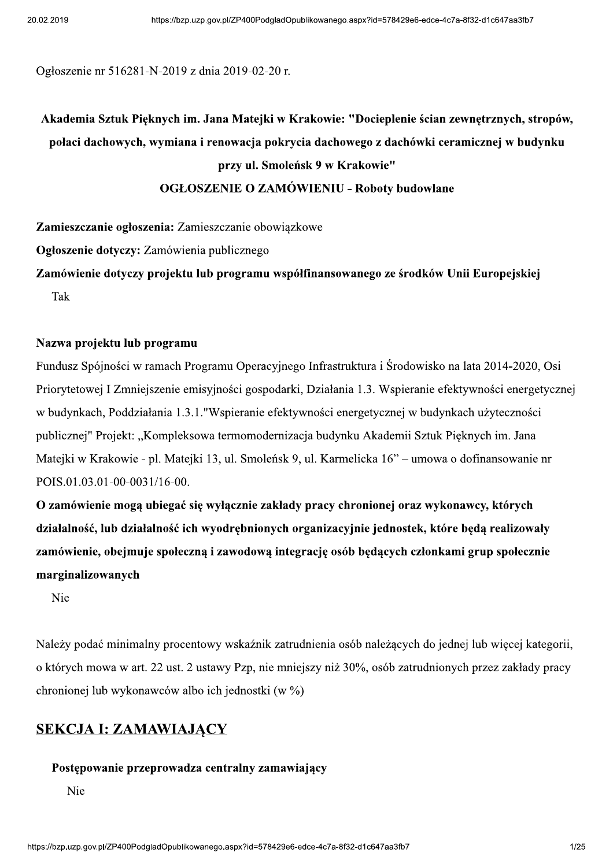Ogłoszenie nr 516281-N-2019 z dnia 2019-02-20 r.

# Akademia Sztuk Pieknych im. Jana Matejki w Krakowie: "Docieplenie ścian zewnętrznych, stropów, połaci dachowych, wymiana i renowacja pokrycia dachowego z dachówki ceramicznej w budynku przy ul. Smoleńsk 9 w Krakowie"

#### **OGŁOSZENIE O ZAMÓWIENIU - Roboty budowlane**

Zamieszczanie ogłoszenia: Zamieszczanie obowiązkowe

Ogłoszenie dotyczy: Zamówienia publicznego

Zamówienie dotyczy projektu lub programu współfinansowanego ze środków Unii Europejskiej Tak

#### Nazwa projektu lub programu

Fundusz Spójności w ramach Programu Operacyjnego Infrastruktura i Środowisko na lata 2014-2020, Osi Priorytetowej I Zmniejszenie emisyjności gospodarki, Działania 1.3. Wspieranie efektywności energetycznej w budynkach, Poddziałania 1.3.1."Wspieranie efektywności energetycznej w budynkach użyteczności publicznej" Projekt: "Kompleksowa termomodernizacja budynku Akademii Sztuk Pięknych im. Jana Mateiki w Krakowie - pl. Mateiki 13, ul. Smoleńsk 9, ul. Karmelicka 16" – umowa o dofinansowanie nr POIS.01.03.01-00-0031/16-00.

O zamówienie moga ubiegać się wyłacznie zakłady pracy chronionej oraz wykonawcy, których działalność, lub działalność ich wyodrębnionych organizacyjnie jednostek, które będą realizowały zamówienie, obejmuje społeczną i zawodową integrację osób będących członkami grup społecznie marginalizowanych

Nie

Należy podać minimalny procentowy wskaźnik zatrudnienia osób należących do jednej lub więcej kategorii, o których mowa w art. 22 ust. 2 ustawy Pzp, nie mniejszy niż 30%, osób zatrudnionych przez zakłady pracy chronionej lub wykonawców albo ich jednostki (w %)

#### **SEKCJA I: ZAMAWIAJĄCY**

#### Postępowanie przeprowadza centralny zamawiający

Nie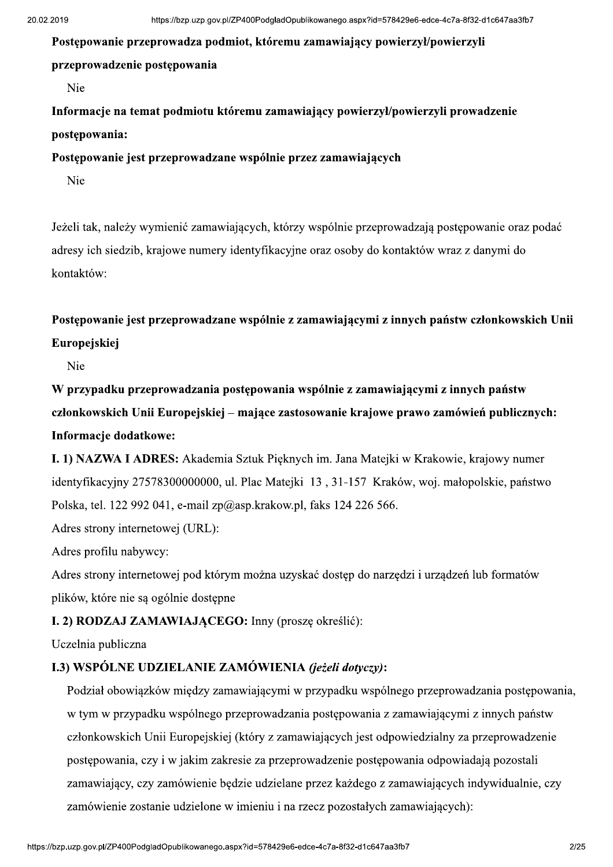Postepowanie przeprowadza podmiot, któremu zamawiający powierzył/powierzyli przeprowadzenie postępowania

Nie

Informacje na temat podmiotu któremu zamawiający powierzył/powierzyli prowadzenie postepowania:

Postepowanie jest przeprowadzane wspólnie przez zamawiających

Nie

Jeżeli tak, należy wymienić zamawiających, którzy wspólnie przeprowadzają postępowanie oraz podać adresy ich siedzib, krajowe numery identyfikacyjne oraz osoby do kontaktów wraz z danymi do kontaktów:

Postępowanie jest przeprowadzane wspólnie z zamawiającymi z innych państw członkowskich Unii Europejskiej

Nie

W przypadku przeprowadzania postepowania wspólnie z zamawiającymi z innych państw członkowskich Unii Europejskiej – mające zastosowanie krajowe prawo zamówień publicznych: Informacje dodatkowe:

I. 1) NAZWA I ADRES: Akademia Sztuk Pieknych im. Jana Matejki w Krakowie, krajowy numer identyfikacyjny 27578300000000, ul. Plac Mateiki 13, 31-157 Kraków, woj. małopolskie, państwo Polska, tel. 122 992 041, e-mail zp@asp.krakow.pl, faks 124 226 566.

Adres strony internetowei (URL):

Adres profilu nabywcy:

Adres strony internetowej pod którym można uzyskać dostęp do narzędzi i urządzeń lub formatów plików, które nie są ogólnie dostępne

#### I. 2) RODZAJ ZAMAWIAJĄCEGO: Inny (proszę określić):

Uczelnia publiczna

#### I.3) WSPÓLNE UDZIELANIE ZAMÓWIENIA (jeżeli dotyczy):

Podział obowiązków między zamawiającymi w przypadku wspólnego przeprowadzania postępowania, w tym w przypadku wspólnego przeprowadzania postępowania z zamawiającymi z innych państw członkowskich Unii Europejskiej (który z zamawiających jest odpowiedzialny za przeprowadzenie postępowania, czy i w jakim zakresie za przeprowadzenie postępowania odpowiadają pozostali zamawiający, czy zamówienie bedzie udzielane przez każdego z zamawiających indywidualnie, czy zamówienie zostanie udzielone w imieniu i na rzecz pozostałych zamawiających):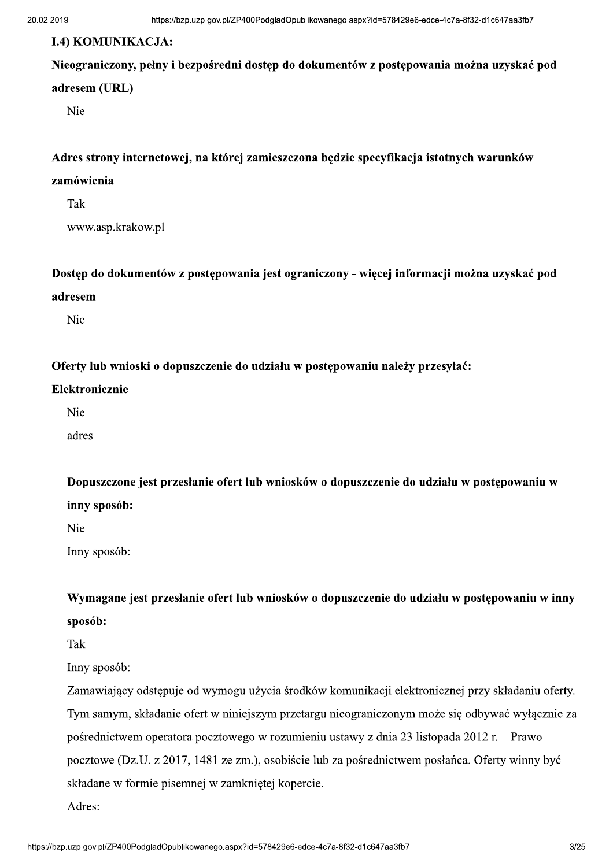#### **I.4) KOMUNIKACJA:**

### Nieograniczony, pełny i bezpośredni dostęp do dokumentów z postępowania można uzyskać pod adresem (URL)

Nie

#### Adres strony internetowej, na której zamieszczona będzie specyfikacja istotnych warunków

#### zamówienia

Tak

www.asp.krakow.pl

Dostęp do dokumentów z postępowania jest ograniczony - więcej informacji można uzyskać pod adresem

Nie

Oferty lub wnioski o dopuszczenie do udziału w postępowaniu należy przesyłać:

#### Elektronicznie

Nie

adres

Dopuszczone jest przesłanie ofert lub wniosków o dopuszczenie do udziału w postepowaniu w inny sposób:

Nie

Inny sposób:

Wymagane jest przesłanie ofert lub wniosków o dopuszczenie do udziału w postępowaniu w inny sposób:

Tak

Inny sposób:

Zamawiający odstępuje od wymogu użycia środków komunikacji elektronicznej przy składaniu oferty. Tym samym, składanie ofert w niniejszym przetargu nieograniczonym może się odbywać wyłącznie za pośrednictwem operatora pocztowego w rozumieniu ustawy z dnia 23 listopada 2012 r. – Prawo pocztowe (Dz.U. z 2017, 1481 ze zm.), osobiście lub za pośrednictwem posłańca. Oferty winny być składane w formie pisemnej w zamkniętej kopercie.

Adres: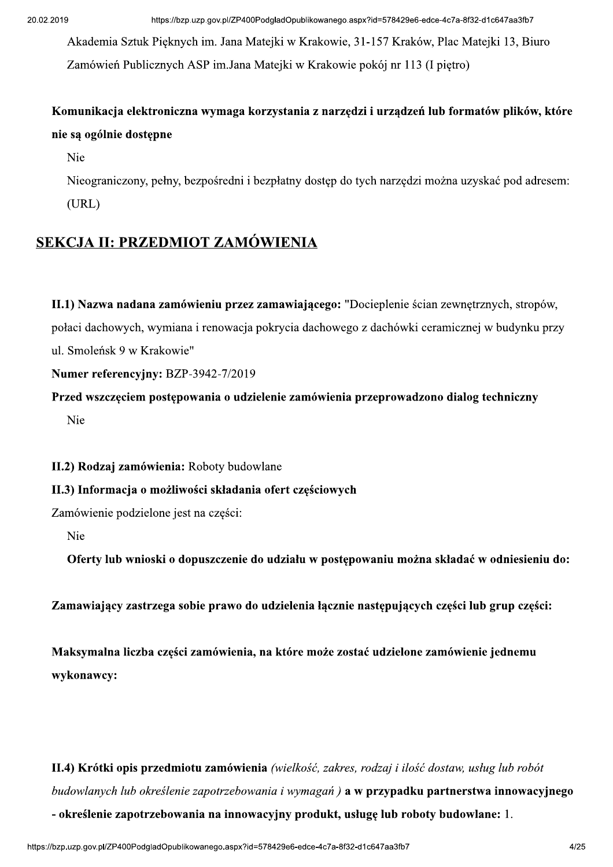Akademia Sztuk Pieknych im. Jana Matejki w Krakowie, 31-157 Kraków, Plac Matejki 13, Biuro Zamówień Publicznych ASP im. Jana Matejki w Krakowie pokój nr 113 (I pietro)

# Komunikacja elektroniczna wymaga korzystania z narzędzi i urządzeń lub formatów plików, które nie są ogólnie dostępne

Nie

Nieograniczony, pełny, bezpośredni i bezpłatny dostęp do tych narzędzi można uzyskać pod adresem:  $(URL)$ 

# SEKCJA II: PRZEDMIOT ZAMÓWIENIA

II.1) Nazwa nadana zamówieniu przez zamawiającego: "Docieplenie ścian zewnętrznych, stropów, połaci dachowych, wymiana i renowacja pokrycia dachowego z dachówki ceramicznej w budynku przy ul. Smoleńsk 9 w Krakowie"

#### Numer referencyjny: BZP-3942-7/2019

Przed wszczęciem postępowania o udzielenie zamówienia przeprowadzono dialog techniczny Nie

#### II.2) Rodzaj zamówienia: Roboty budowlane

#### II.3) Informacja o możliwości składania ofert częściowych

Zamówienie podzielone jest na części:

Nie

Oferty lub wnioski o dopuszczenie do udziału w postępowaniu można składać w odniesieniu do:

Zamawiający zastrzega sobie prawo do udzielenia łącznie następujących części lub grup części:

Maksymalna liczba części zamówienia, na które może zostać udzielone zamówienie jednemu wykonawcy:

# II.4) Krótki opis przedmiotu zamówienia (wielkość, zakres, rodzaj i ilość dostaw, usług lub robót budowlanych lub określenie zapotrzebowania i wymagań) a w przypadku partnerstwa innowacyjnego - określenie zapotrzebowania na innowacyjny produkt, usługę lub roboty budowlane: 1.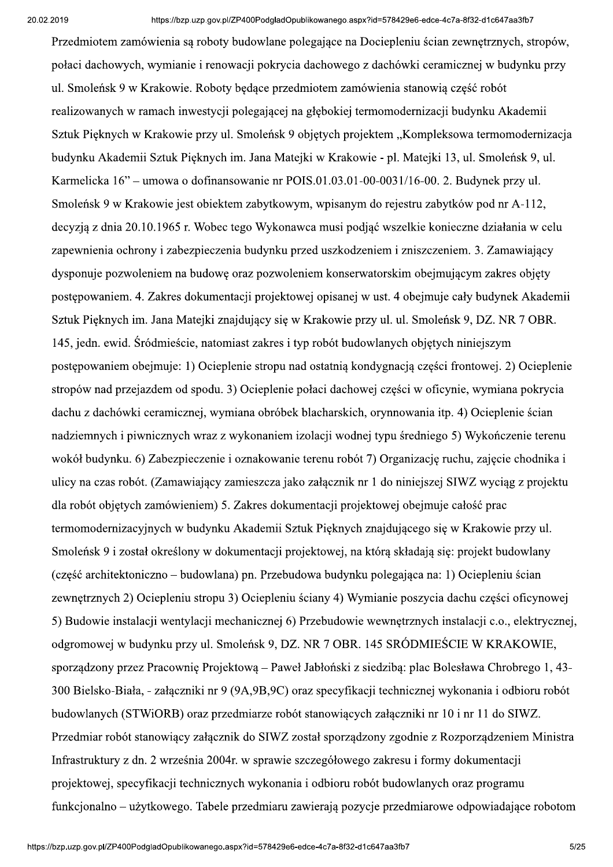Przedmiotem zamówienia są roboty budowlane polegające na Dociepleniu ścian zewnętrznych, stropów, połaci dachowych, wymianie i renowacji pokrycia dachowego z dachówki ceramicznej w budynku przy ul. Smoleńsk 9 w Krakowie. Roboty bedace przedmiotem zamówienia stanowia cześć robót realizowanych w ramach inwestycji polegającej na głębokiej termomodernizacji budynku Akademii Sztuk Pięknych w Krakowie przy ul. Smoleńsk 9 objetych projektem "Kompleksowa termomodernizacja budynku Akademii Sztuk Pieknych im. Jana Matejki w Krakowie - pl. Matejki 13, ul. Smoleńsk 9, ul. Karmelicka 16" – umowa o dofinansowanie nr POIS.01.03.01-00-0031/16-00. 2. Budynek przy ul. Smoleńsk 9 w Krakowie jest obiektem zabytkowym, wpisanym do rejestru zabytków pod nr A-112, decyzją z dnia 20.10.1965 r. Wobec tego Wykonawca musi podjąć wszelkie konieczne działania w celu zapewnienia ochrony i zabezpieczenia budynku przed uszkodzeniem i zniszczeniem. 3. Zamawiający dysponuje pozwoleniem na budowę oraz pozwoleniem konserwatorskim obejmującym zakres objęty postępowaniem. 4. Zakres dokumentacji projektowej opisanej w ust. 4 obejmuje cały budynek Akademii Sztuk Pięknych im. Jana Matejki znajdujący się w Krakowie przy ul. ul. Smoleńsk 9, DZ. NR 7 OBR. 145, jedn. ewid. Śródmieście, natomiast zakres i typ robót budowlanych objętych niniejszym postępowaniem obejmuje: 1) Ocieplenie stropu nad ostatnią kondygnacją części frontowej. 2) Ocieplenie stropów nad przejązdem od spodu. 3) Ocieplenie połaci dachowej części w oficynie, wymiana pokrycia dachu z dachówki ceramicznej, wymiana obróbek blacharskich, orynnowania itp. 4) Ocieplenie ścian nadziemnych i piwnicznych wraz z wykonaniem izolacji wodnej typu średniego 5) Wykończenie terenu wokół budynku, 6) Zabezpieczenie i oznakowanie terenu robót 7) Organizacje ruchu, zajecie chodnika i ulicy na czas robót. (Zamawiający zamieszcza jako załącznik nr 1 do niniejszej SIWZ wyciąg z projektu dla robót objetych zamówieniem) 5. Zakres dokumentacii projektowej obejmuje całość prac termomodernizacyjnych w budynku Akademii Sztuk Pieknych znajdującego się w Krakowie przy ul. Smoleńsk 9 i został określony w dokumentacji projektowej, na która składają sie: projekt budowlany (cześć architektoniczno – budowlana) pn. Przebudowa budynku polegająca na: 1) Ociepleniu ścian zewnętrznych 2) Ociepleniu stropu 3) Ociepleniu ściany 4) Wymianie poszycia dachu części oficynowej 5) Budowie instalacji wentylacji mechanicznej 6) Przebudowie wewnętrznych instalacji c.o., elektrycznej, odgromowej w budynku przy ul. Smoleńsk 9, DZ. NR 7 OBR. 145 SRÓDMIEŚCIE W KRAKOWIE, sporządzony przez Pracownię Projektową – Paweł Jabłoński z siedzibą: plac Bolesława Chrobrego 1, 43-300 Bielsko-Biała, - załączniki nr 9 (9A,9B,9C) oraz specyfikacji technicznej wykonania i odbioru robót budowlanych (STWiORB) oraz przedmiarze robót stanowiących załączniki nr 10 i nr 11 do SIWZ. Przedmiar robót stanowiący załącznik do SIWZ został sporządzony zgodnie z Rozporządzeniem Ministra Infrastruktury z dn. 2 września 2004r. w sprawie szczegółowego zakresu i formy dokumentacji projektowej, specyfikacji technicznych wykonania i odbioru robót budowlanych oraz programu funkcionalno – użytkowego. Tabele przedmiaru zawierają pozycie przedmiarowe odpowiadające robotom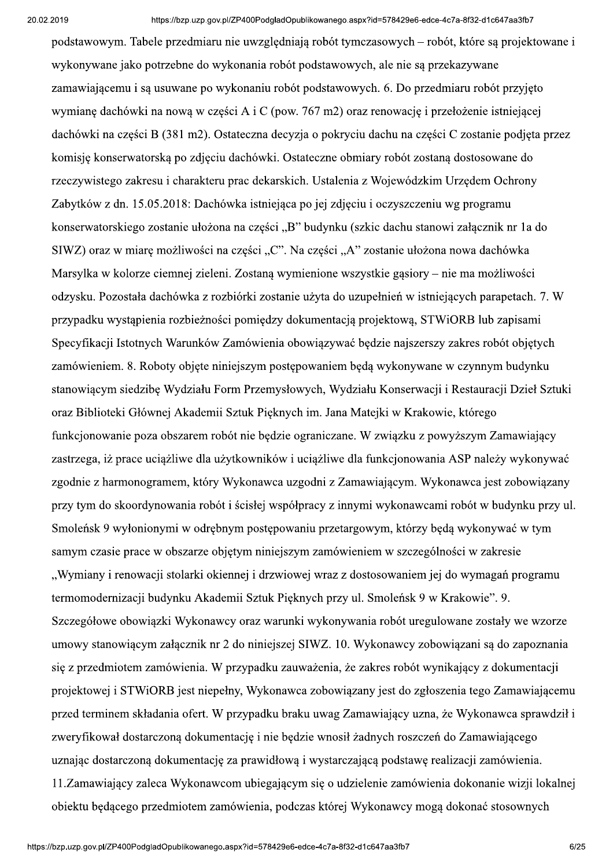podstawowym. Tabele przedmiaru nie uwzgledniają robót tymczasowych – robót, które są projektowane i wykonywane jako potrzebne do wykonania robót podstawowych, ale nie są przekazywane zamawiającemu i są usuwane po wykonaniu robót podstawowych. 6. Do przedmiaru robót przyjęto wymiane dachówki na nowa w części A i C (pow. 767 m2) oraz renowację i przełożenie istniejącej dachówki na części B (381 m2). Ostateczna decyzja o pokryciu dachu na części C zostanie podjęta przez komisję konserwatorską po zdjęciu dachówki. Ostateczne obmiary robót zostaną dostosowane do rzeczywistego zakresu i charakteru prac dekarskich. Ustalenia z Wojewódzkim Urzędem Ochrony Zabytków z dn. 15.05.2018: Dachówka istniejąca po jej zdjęciu i oczyszczeniu wg programu konserwatorskiego zostanie ułożona na części "B" budynku (szkic dachu stanowi załącznik nr 1a do SIWZ) oraz w miarę możliwości na części "C". Na części "A" zostanie ułożona nowa dachówka Marsylka w kolorze ciemnej zieleni. Zostaną wymienione wszystkie gąsiory – nie ma możliwości odzysku. Pozostała dachówka z rozbiórki zostanie użyta do uzupełnień w istniejących parapetach. 7. W przypadku wystąpienia rozbieżności pomiędzy dokumentacją projektową, STWiORB lub zapisami Specyfikacji Istotnych Warunków Zamówienia obowiązywać będzie najszerszy zakres robót objętych zamówieniem. 8. Roboty objęte niniejszym postępowaniem będą wykonywane w czynnym budynku stanowiacym siedzibe Wydziału Form Przemysłowych, Wydziału Konserwacji i Restauracji Dzieł Sztuki oraz Biblioteki Głównej Akademii Sztuk Pieknych im. Jana Matejki w Krakowie, którego funkcjonowanie poza obszarem robót nie będzie ograniczane. W związku z powyższym Zamawiający zastrzega, iż prace uciążliwe dla użytkowników i uciążliwe dla funkcjonowania ASP należy wykonywać zgodnie z harmonogramem, który Wykonawca uzgodni z Zamawiającym. Wykonawca jest zobowiązany przy tym do skoordynowania robót i ścisłej współpracy z innymi wykonawcami robót w budynku przy ul. Smoleńsk 9 wyłonionymi w odrębnym postępowaniu przetargowym, którzy będą wykonywać w tym samym czasie prace w obszarze objętym niniejszym zamówieniem w szczególności w zakresie "Wymiany i renowacji stolarki okiennej i drzwiowej wraz z dostosowaniem jej do wymagań programu termomodernizacji budynku Akademii Sztuk Pięknych przy ul. Smoleńsk 9 w Krakowie". 9. Szczegółowe obowiązki Wykonawcy oraz warunki wykonywania robót uregulowane zostały we wzorze umowy stanowiącym załącznik nr 2 do niniejszej SIWZ. 10. Wykonawcy zobowiązani są do zapoznania się z przedmiotem zamówienia. W przypadku zauważenia, że zakres robót wynikający z dokumentacji projektowej i STWiORB jest niepełny, Wykonawca zobowiązany jest do zgłoszenia tego Zamawiającemu przed terminem składania ofert. W przypadku braku uwag Zamawiający uzna, że Wykonawca sprawdził i zweryfikował dostarczoną dokumentację i nie będzie wnosił żadnych roszczeń do Zamawiającego uznając dostarczoną dokumentację za prawidłową i wystarczającą podstawę realizacji zamówienia. 11. Zamawiający zaleca Wykonawcom ubiegającym się o udzielenie zamówienia dokonanie wizji lokalnej obiektu będącego przedmiotem zamówienia, podczas której Wykonawcy mogą dokonać stosownych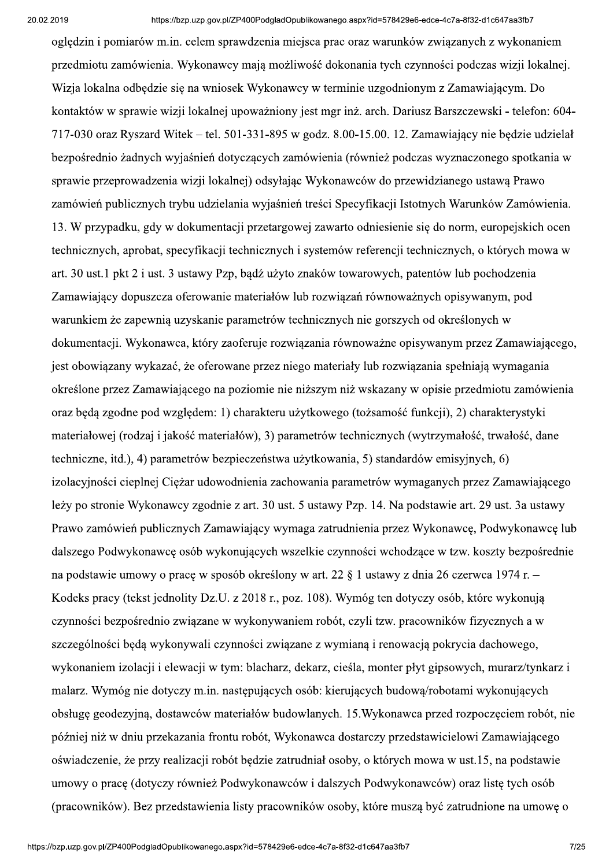ogledzin i pomiarów m.in. celem sprawdzenia miejsca prac oraz warunków zwiazanych z wykonaniem przedmiotu zamówienia. Wykonawcy mają możliwość dokonania tych czynności podczas wizji lokalnej. Wizja lokalna odbędzie się na wniosek Wykonawcy w terminie uzgodnionym z Zamawiającym. Do kontaktów w sprawie wizji lokalnej upoważniony jest mgr inż. arch. Dariusz Barszczewski - telefon: 604-717-030 oraz Ryszard Witek – tel. 501-331-895 w godz. 8.00-15.00. 12. Zamawiający nie będzie udzielał bezpośrednio żadnych wyjaśnień dotyczących zamówienia (również podczas wyznaczonego spotkania w sprawie przeprowadzenia wizji lokalnej) odsyłając Wykonawców do przewidzianego ustawą Prawo zamówień publicznych trybu udzielania wyjaśnień treści Specyfikacji Istotnych Warunków Zamówienia. 13. W przypadku, gdy w dokumentacji przetargowej zawarto odniesienie się do norm, europejskich ocen technicznych, aprobat, specyfikacji technicznych i systemów referencji technicznych, o których mowa w art. 30 ust.1 pkt 2 i ust. 3 ustawy Pzp, bądź użyto znaków towarowych, patentów lub pochodzenia Zamawiający dopuszcza oferowanie materiałów lub rozwiązań równoważnych opisywanym, pod warunkiem że zapewnią uzyskanie parametrów technicznych nie gorszych od określonych w dokumentacji. Wykonawca, który zaoferuje rozwiązania równoważne opisywanym przez Zamawiającego, jest obowiązany wykazać, że oferowane przez niego materiały lub rozwiązania spełniają wymagania określone przez Zamawiającego na poziomie nie niższym niż wskazany w opisie przedmiotu zamówienia oraz beda zgodne pod wzgledem: 1) charakteru użytkowego (tożsamość funkcji), 2) charakterystyki materiałowej (rodzaj i jakość materiałów), 3) parametrów technicznych (wytrzymałość, trwałość, dane techniczne, itd.), 4) parametrów bezpieczeństwa użytkowania, 5) standardów emisyjnych, 6) izolacyjności cieplnej Cieżar udowodnienia zachowania parametrów wymaganych przez Zamawiającego leży po stronie Wykonawcy zgodnie z art. 30 ust. 5 ustawy Pzp. 14. Na podstawie art. 29 ust. 3a ustawy Prawo zamówień publicznych Zamawiający wymaga zatrudnienia przez Wykonawcę, Podwykonawcę lub dalszego Podwykonawcę osób wykonujących wszelkie czynności wchodzące w tzw. koszty bezpośrednie na podstawie umowy o pracę w sposób określony w art. 22 § 1 ustawy z dnia 26 czerwca 1974 r. – Kodeks pracy (tekst jednolity Dz.U. z 2018 r., poz. 108). Wymóg ten dotyczy osób, które wykonują czynności bezpośrednio związane w wykonywaniem robót, czyli tzw. pracowników fizycznych a w szczególności będą wykonywali czynności związane z wymianą i renowacją pokrycia dachowego, wykonaniem izolacji i elewacji w tym: blacharz, dekarz, cieśla, monter płyt gipsowych, murarz/tynkarz i malarz. Wymóg nie dotyczy m.in. następujących osób: kierujących budową/robotami wykonujących obsługę geodezyjna, dostawców materiałów budowlanych. 15. Wykonawca przed rozpoczęciem robót, nie później niż w dniu przekazania frontu robót, Wykonawca dostarczy przedstawicielowi Zamawiającego oświadczenie, że przy realizacji robót będzie zatrudniał osoby, o których mowa w ust.15, na podstawie umowy o prace (dotyczy również Podwykonawców i dalszych Podwykonawców) oraz liste tych osób (pracowników). Bez przedstawienia listy pracowników osoby, które musza być zatrudnione na umowe o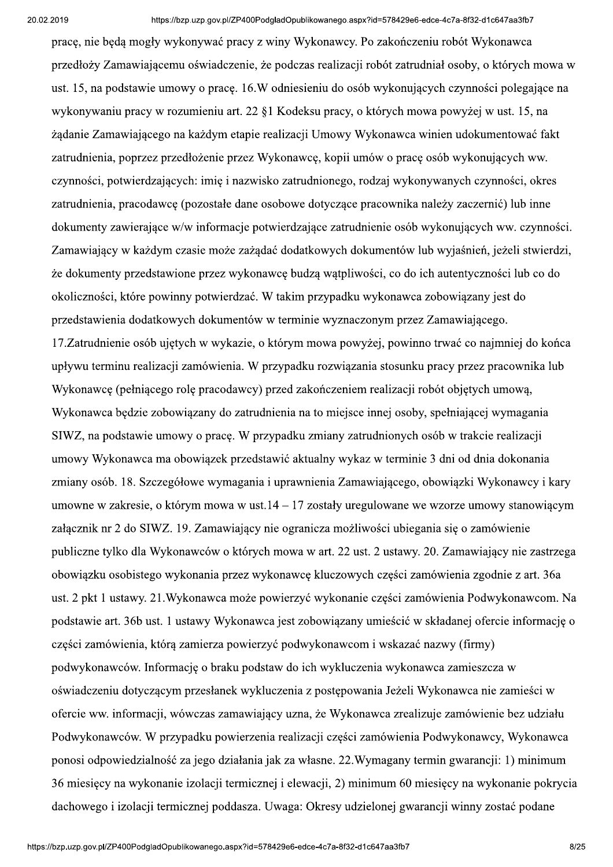pracę, nie będą mogły wykonywać pracy z winy Wykonawcy. Po zakończeniu robót Wykonawca przedłoży Zamawiającemu oświadczenie, że podczas realizacji robót zatrudniał osoby, o których mowa w ust. 15, na podstawie umowy o prace. 16.W odniesieniu do osób wykonujących czynności polegające na wykonywaniu pracy w rozumieniu art. 22 §1 Kodeksu pracy, o których mowa powyżej w ust. 15, na żądanie Zamawiającego na każdym etapie realizacji Umowy Wykonawca winien udokumentować fakt zatrudnienia, poprzez przedłożenie przez Wykonawcę, kopii umów o pracę osób wykonujących ww. czynności, potwierdzających: imię i nazwisko zatrudnionego, rodzaj wykonywanych czynności, okres zatrudnienia, pracodawcę (pozostałe dane osobowe dotyczące pracownika należy zaczernić) lub inne dokumenty zawierające w/w informacje potwierdzające zatrudnienie osób wykonujących ww. czynności. Zamawiający w każdym czasie może zażądać dodatkowych dokumentów lub wyjaśnień, jeżeli stwierdzi, że dokumenty przedstawione przez wykonawcę budzą wątpliwości, co do ich autentyczności lub co do okoliczności, które powinny potwierdzać. W takim przypadku wykonawca zobowiązany jest do przedstawienia dodatkowych dokumentów w terminie wyznaczonym przez Zamawiającego. 17. Zatrudnienie osób ujętych w wykazie, o którym mowa powyżej, powinno trwać co najmniej do końca upływu terminu realizacji zamówienia. W przypadku rozwiązania stosunku pracy przez pracownika lub Wykonawce (pełniacego role pracodawcy) przed zakończeniem realizacji robót objetych umowa, Wykonawca bedzie zobowiazany do zatrudnienia na to miejsce innej osoby, spełniającej wymagania SIWZ, na podstawie umowy o pracę. W przypadku zmiany zatrudnionych osób w trakcie realizacji umowy Wykonawca ma obowiązek przedstawić aktualny wykaz w terminie 3 dni od dnia dokonania zmiany osób. 18. Szczegółowe wymagania i uprawnienia Zamawiającego, obowiązki Wykonawcy i kary umowne w zakresie, o którym mowa w ust $.14 - 17$  zostały uregulowane we wzorze umowy stanowiącym załącznik nr 2 do SIWZ. 19. Zamawiający nie ogranicza możliwości ubiegania się o zamówienie publiczne tylko dla Wykonawców o których mowa w art. 22 ust. 2 ustawy. 20. Zamawiający nie zastrzega obowiązku osobistego wykonania przez wykonawcę kluczowych części zamówienia zgodnie z art. 36a ust. 2 pkt 1 ustawy. 21. Wykonawca może powierzyć wykonanie części zamówienia Podwykonawcom. Na podstawie art. 36b ust. 1 ustawy Wykonawca jest zobowiązany umieścić w składanej ofercie informację o części zamówienia, którą zamierza powierzyć podwykonawcom i wskazać nazwy (firmy) podwykonawców. Informację o braku podstaw do ich wykluczenia wykonawca zamieszcza w oświadczeniu dotyczącym przesłanek wykluczenia z postępowania Jeżeli Wykonawca nie zamieści w ofercie ww. informacji, wówczas zamawiający uzna, że Wykonawca zrealizuje zamówienie bez udziału Podwykonawców. W przypadku powierzenia realizacji części zamówienia Podwykonawcy, Wykonawca ponosi odpowiedzialność za jego działania jak za własne. 22. Wymagany termin gwarancji: 1) minimum 36 miesięcy na wykonanie izolacji termicznej i elewacji, 2) minimum 60 miesięcy na wykonanie pokrycia dachowego i izolacji termicznej poddasza. Uwaga: Okresy udzielonej gwarancji winny zostać podane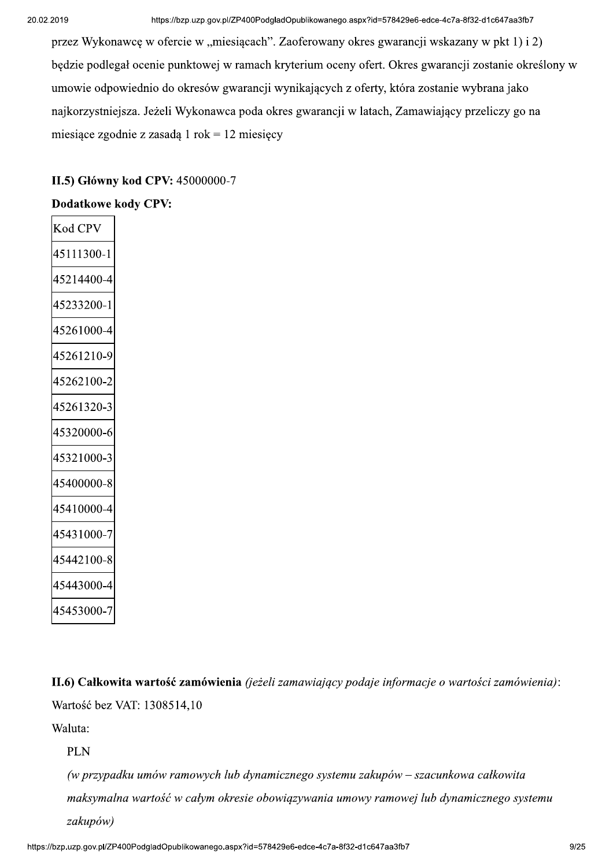przez Wykonawcę w ofercie w "miesiącach". Zaoferowany okres gwarancji wskazany w pkt 1) i 2) będzie podlegał ocenie punktowej w ramach kryterium oceny ofert. Okres gwarancji zostanie określony w umowie odpowiednio do okresów gwarancji wynikających z oferty, która zostanie wybrana jako najkorzystniejsza. Jeżeli Wykonawca poda okres gwarancji w latach, Zamawiający przeliczy go na miesiące zgodnie z zasadą 1 rok = 12 miesięcy

#### II.5) Główny kod CPV: 45000000-7

#### **Dodatkowe kody CPV:**

| Kod CP           |
|------------------|
| 45111300-1       |
| 45214400<br>$-4$ |
| 45233200-1       |
| 45261000-4       |
| 45261210-9       |
| 45262100-2       |
| 45261320-3       |
| 45320000-6       |
| 45321000-3       |
| 45400000-8       |
| 45410000-4       |
| 45431000-7       |
| 45442100-8       |
| 45443000-4       |
| 45453000-        |

II.6) Całkowita wartość zamówienia (jeżeli zamawiający podaje informacje o wartości zamówienia): Wartość bez VAT: 1308514.10

Waluta:

**PLN** 

(w przypadku umów ramowych lub dynamicznego systemu zakupów – szacunkowa całkowita maksymalna wartość w całym okresie obowiązywania umowy ramowej lub dynamicznego systemu zakupów)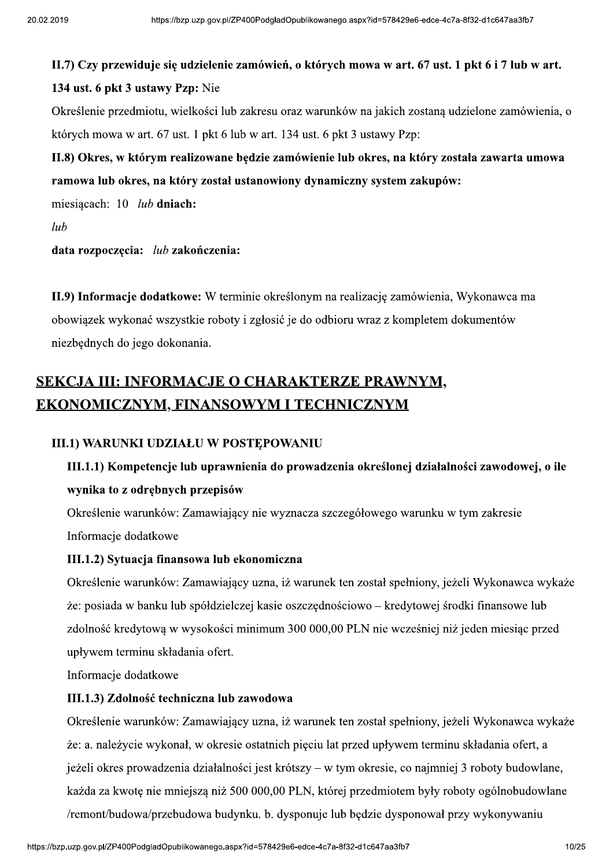# aspx?id=578429e6-edce-4c7a-8f32-d1c647aa3fb7<br>**mowa w art. 67 ust. 1 pkt 6 i 7 lub w art.** II.7) Czy przewiduje się udzielenie zamówień, o których mowa w art. 67 ust. 1 pkt 6 i 7 lub w art.

#### 134 ust. 6 pkt 3 ustawy Pzp: Nie

Określenie przedmiotu, wielkości lub zakresu oraz warunków na jakich zostaną udzielone zamówienia, o których mowa w art. 67 ust. 1 pkt 6 lub w art. 134 ust. 6 pkt 3 ustawy Pzp:

## II.8) Okres, w którym realizowane będzie zamówienie lub okres, na który została zawarta umowa ramowa lub okres, na który został ustanowiony dynamiczny system zakupów:

miesiącach:  $10$  lub dniach:

 $lub$ 

data rozpoczęcia:  $lub$  zakończenia:

II.9) Informacje dodatkowe: W terminie określonym na realizację zamówienia, Wykonawca ma obowiązek wykonać wszystkie roboty i zgłosić je do odbioru wraz z kompletem dokumentów niezbędnych do jego dokonania.

# SEKCJA III: INFORMACJE O CHARAKTERZE PRAWNYM, EKONOMICZNYM, FINANSOWYM I TECHNICZNYM

#### III.1) WARUNKI UDZIAŁU W POSTEPOWANIU

# III.1.1) Kompetencje lub uprawnienia do prowadzenia określonej działalności zawodowej, o ile wynika to z odrębnych przepisów

Określenie warunków: Zamawiający nie wyznacza szczegółowego warunku w tym zakresie Informacje dodatkowe

#### III.1.2) Sytuacja finansowa lub ekonomiczna

Określenie warunków: Zamawiający uzna, iż warunek ten został spełniony, jeżeli Wykonawca wykaże  $\dot{\mathbf{z}}$ e: posiada w banku lub spółdzielczej kasie oszczędnościowo – kredytowej środki finansowe lub zdolność kredytową w wysokości minimum 300 000,00 PLN nie wcześniej niż jeden miesiąc przed upływem terminu składania ofert.

Informacje dodatkowe

#### III.1.3) Zdolność techniczna lub zawodowa

mości jest krótszy – w tym okresie, co najmniej 3 roboty oudowiane,<br>
1980 000,00 PLN, której przedmiotem były roboty ogólnobudowlane<br>
udynku. b. dysponuje lub będzie dysponował przy wykonywaniu<br>
aspx?id=578429e6-edce-4c7a-Określenie warunków: Zamawiający uzna, iż warunek ten został spełniony, jeżeli Wykonawca wykaże  $\dot{\mathbf{z}}$ e: a. należycie wykonał, w okresie ostatnich pięciu lat przed upływem terminu składania ofert, a jeżeli okres prowadzenia działalności jest krótszy – w tym okresie, co najmniej 3 roboty budowlane, każda za kwotę nie mniejszą niż 500 000,00 PLN, której przedmiotem były roboty ogólnobudowlane /remont/budowa/przebudowa budynku. b. dysponuje lub będzie dysponował przy wykonywaniu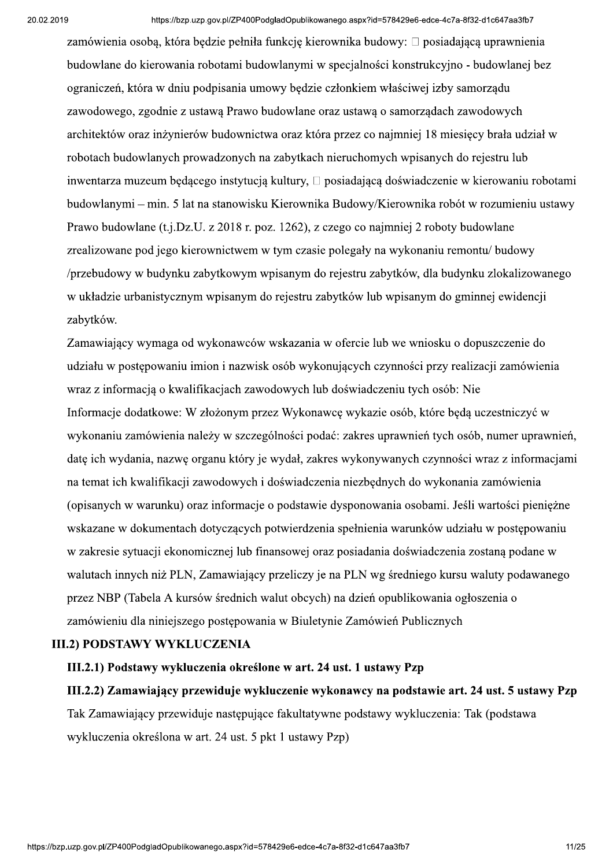aspx?id=578429e6-edce-4c7a-8f32-d1c647aa3fb7<br>ka budowy: □ posiadającą uprawnienia<br>:jalności konstrukcyjno - budowlanej bez<br>1kiem właściwej izby samorządu zamówienia osobą, która będzie pełniła funkcję kierownika budowy:  $\Box$  posiadającą uprawnienia budowlane do kierowania robotami budowlanymi w specjalności konstrukcyjno - budowlanej bez ograniczeń, która w dniu podpisania umowy bedzie członkiem właściwej izby samorządu zawodowego, zgodnie z ustawa Prawo budowlane oraz ustawa o samorządach zawodowych architektów oraz inżynierów budownictwa oraz która przez co najmniej 18 miesięcy brała udział w robotach budowlanych prowadzonych na zabytkach nieruchomych wpisanych do rejestru lub  $\overline{\mathbf{a}}$ inwentarza muzeum będącego instytucją kultury,  $\Box$  posiadającą doświadczenie w kierowaniu robotami budowlanymi – min. 5 lat na stanowisku Kierownika Budowy/Kierownika robót w rozumieniu ustawy Prawo budowlane (t.j.Dz.U. z 2018 r. poz. 1262), z czego co najmniej 2 roboty budowlane zrealizowane pod jego kierownictwem w tym czasie polegały na wykonaniu remontu/ budowy /przebudowy w budynku zabytkowym wpisanym do rejestru zabytków, dla budynku zlokalizowanego w układzie urbanistycznym wpisanym do rejestru zabytków lub wpisanym do gminnej ewidencji zabytków.

Zamawiający wymaga od wykonawców wskazania w ofercie lub we wniosku o dopuszczenie do udziału w postępowaniu imion i nazwisk osób wykonujących czynności przy realizacji zamówienia wraz z informacja o kwalifikacjach zawodowych lub doświadczeniu tych osób: Nie Informacie dodatkowe: W złożonym przez Wykonawce wykazie osób, które beda uczestniczyć w wykonaniu zamówienia należy w szczególności podać: zakres uprawnień tych osób, numer uprawnień, date ich wydania, nazwe organu który je wydał, zakres wykonywanych czynności wraz z informaciami na temat ich kwalifikacii zawodowych i doświadczenia niezbednych do wykonania zamówienia (opisanych w warunku) oraz informacje o podstawie dysponowania osobami. Jeśli wartości pienieżne wskazane w dokumentach dotyczacych potwierdzenia spełnienia warunków udziału w postepowaniu w zakresie sytuacii ekonomicznej lub finansowej oraz posiadania doświadczenia zostana podane w walutach innych niż PLN, Zamawiający przeliczy je na PLN wg średniego kursu waluty podawanego przez NBP (Tabela A kursów średnich walut obcych) na dzień opublikowania ogłoszenia o zamówieniu dla niniejszego postępowania w Biuletynie Zamówień Publicznych

#### III.2) PODSTAWY WYKLUCZENIA

#### III.2.1) Podstawy wykluczenia określone w art. 24 ust. 1 ustawy Pzp

# III.2.2) Zamawiający przewiduje wykluczenie wykonawcy na podstawie art. 24 ust. 5 ustawy Pzp Tak Zamawiający przewiduje następujące fakultatywne podstawy wykluczenia: Tak (podstawa wykluczenia określona w art. 24 ust. 5 pkt 1 ustawy Pzp)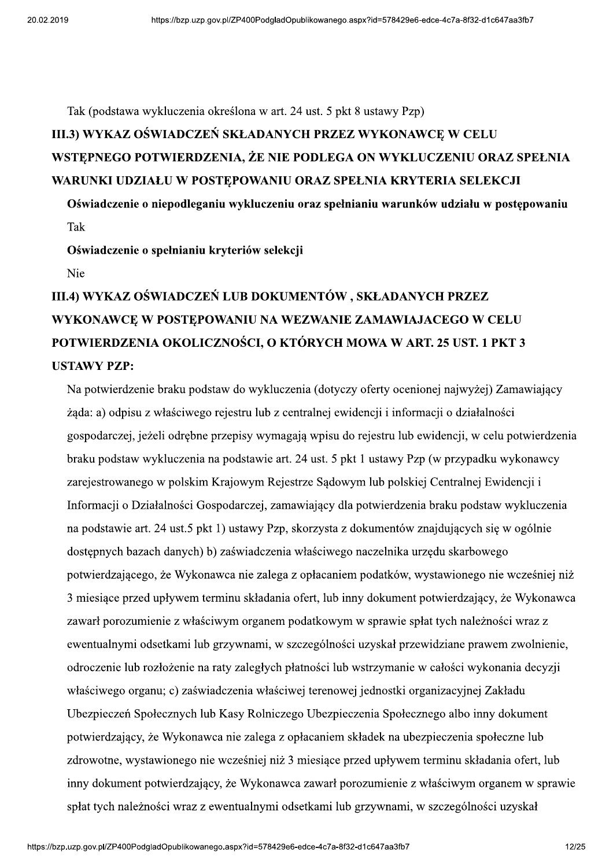Tak (podstawa wykluczenia określona w art. 24 ust. 5 pkt 8 ustawy Pzp)

# III.3) WYKAZ OŚWIADCZEŃ SKŁADANYCH PRZEZ WYKONAWCE W CELU WSTEPNEGO POTWIERDZENIA, ŻE NIE PODLEGA ON WYKLUCZENIU ORAZ SPEŁNIA WARUNKI UDZIAŁU W POSTĘPOWANIU ORAZ SPEŁNIA KRYTERIA SELEKCJI

Oświadczenie o niepodleganiu wykluczeniu oraz spełnianiu warunków udziału w postępowaniu Tak

Oświadczenie o spełnianiu kryteriów selekcji

Nie

# III.4) WYKAZ OŚWIADCZEŃ LUB DOKUMENTÓW, SKŁADANYCH PRZEZ WYKONAWCE W POSTEPOWANIU NA WEZWANIE ZAMAWIAJACEGO W CELU POTWIERDZENIA OKOLICZNOŚCI, O KTÓRYCH MOWA W ART. 25 UST. 1 PKT 3 **USTAWY PZP:**

Na potwierdzenie braku podstaw do wykluczenia (dotyczy oferty ocenionej najwyżej) Zamawiający zada: a) odpisu z właściwego rejestru lub z centralnej ewidencji i informacji o działalności gospodarczej, jeżeli odrębne przepisy wymagają wpisu do rejestru lub ewidencji, w celu potwierdzenia braku podstaw wykluczenia na podstawie art. 24 ust. 5 pkt 1 ustawy Pzp (w przypadku wykonawcy zarejestrowanego w polskim Krajowym Rejestrze Sądowym lub polskiej Centralnej Ewidencji i Informacji o Działalności Gospodarczej, zamawiający dla potwierdzenia braku podstaw wykluczenia na podstawie art. 24 ust.5 pkt 1) ustawy Pzp, skorzysta z dokumentów znajdujących się w ogólnie dostępnych bazach danych) b) zaświadczenia właściwego naczelnika urzędu skarbowego potwierdzającego, że Wykonawca nie zalega z opłacaniem podatków, wystawionego nie wcześniej niż 3 miesiące przed upływem terminu składania ofert, lub inny dokument potwierdzający, że Wykonawca zawarł porozumienie z właściwym organem podatkowym w sprawie spłat tych należności wraz z ewentualnymi odsetkami lub grzywnami, w szczególności uzyskał przewidziane prawem zwolnienie, odroczenie lub rozłożenie na raty zaległych płatności lub wstrzymanie w całości wykonania decyzji właściwego organu; c) zaświadczenia właściwej terenowej jednostki organizacyjnej Zakładu Ubezpieczeń Społecznych lub Kasy Rolniczego Ubezpieczenia Społecznego albo inny dokument potwierdzający, że Wykonawca nie zalega z opłacaniem składek na ubezpieczenia społeczne lub zdrowotne, wystawionego nie wcześniej niż 3 miesiące przed upływem terminu składania ofert, lub inny dokument potwierdzający, że Wykonawca zawarł porozumienie z właściwym organem w sprawie spłat tych należności wraz z ewentualnymi odsetkami lub grzywnami, w szczególności uzyskał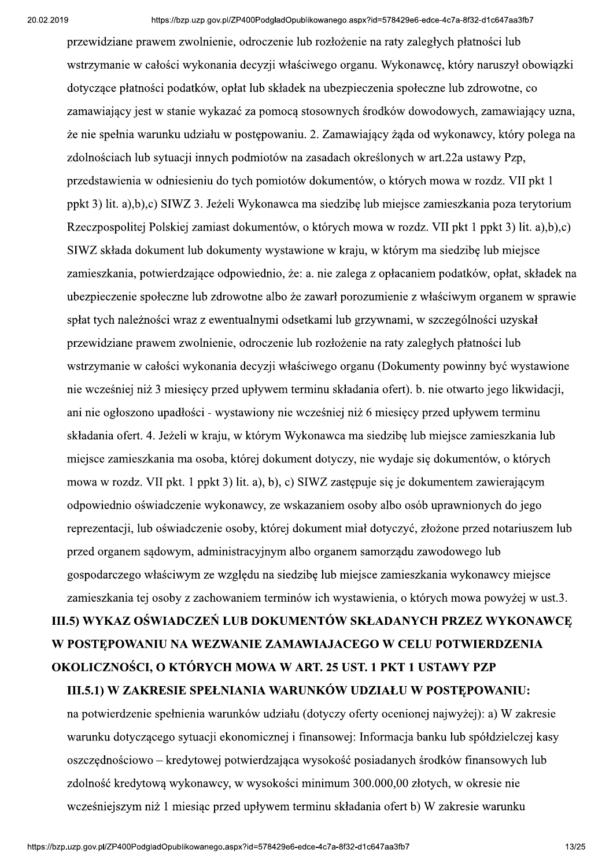przewidziane prawem zwolnienie, odroczenie lub rozłożenie na raty zaległych płatności lub wstrzymanie w całości wykonania decyzji właściwego organu. Wykonawce, który naruszył obowiązki dotyczące płatności podatków, opłat lub składek na ubezpieczenia społeczne lub zdrowotne, co zamawiający jest w stanie wykaząć za pomocą stosownych środków dowodowych, zamawiający uzna, że nie spełnia warunku udziału w postępowaniu. 2. Zamawiający żąda od wykonawcy, który polega na zdolnościach lub sytuacji innych podmiotów na zasadach określonych w art.22a ustawy Pzp, przedstawienia w odniesieniu do tych pomiotów dokumentów, o których mowa w rozdz. VII pkt 1 ppkt 3) lit. a),b),c) SIWZ 3. Jeżeli Wykonawca ma siedzibę lub miejsce zamieszkania poza terytorium Rzeczpospolitej Polskiej zamiast dokumentów, o których mowa w rozdz. VII pkt 1 ppkt 3) lit. a),b),c) SIWZ składa dokument lub dokumenty wystawione w kraju, w którym ma siedzibę lub miejsce zamieszkania, potwierdzające odpowiednio, że: a. nie zalega z opłacaniem podatków, opłat, składek na ubezpieczenie społeczne lub zdrowotne albo że zawarł porozumienie z właściwym organem w sprawie spłat tych należności wraz z ewentualnymi odsetkami lub grzywnami, w szczególności uzyskał przewidziane prawem zwolnienie, odroczenie lub rozłożenie na raty zaległych płatności lub wstrzymanie w całości wykonania decyzji właściwego organu (Dokumenty powinny być wystawione nie wcześniej niż 3 miesiecy przed upływem terminu składania ofert), b. nie otwarto jego likwidacji, ani nie ogłoszono upadłości - wystawiony nie wcześniej niż 6 miesiecy przed upływem terminu składania ofert. 4. Jeżeli w kraju, w którym Wykonawca ma siedzibę lub miejsce zamieszkania lub miejsce zamieszkania ma osoba, której dokument dotyczy, nie wydaje się dokumentów, o których mowa w rozdz. VII pkt. 1 ppkt 3) lit. a), b), c) SIWZ zastępuje się je dokumentem zawierającym odpowiednio oświadczenie wykonawcy, ze wskazaniem osoby albo osób uprawnionych do jego reprezentacii, lub oświadczenie osoby, której dokument miał dotyczyć, złożone przed notariuszem lub przed organem sadowym, administracyjnym albo organem samorządu zawodowego lub gospodarczego właściwym ze wzgledu na siędzibe lub miejsce zamieszkania wykonawcy miejsce zamieszkania tej osoby z zachowaniem terminów ich wystawienia, o których mowa powyżej w ust.3.

# III.5) WYKAZ OŚWIADCZEŃ LUB DOKUMENTÓW SKŁADANYCH PRZEZ WYKONAWCE W POSTEPOWANIU NA WEZWANIE ZAMAWIAJACEGO W CELU POTWIERDZENIA OKOLICZNOŚCI, O KTÓRYCH MOWA W ART. 25 UST. 1 PKT 1 USTAWY PZP

#### III.5.1) W ZAKRESIE SPEŁNIANIA WARUNKÓW UDZIAŁU W POSTEPOWANIU:

na potwierdzenie spełnienia warunków udziału (dotyczy oferty ocenionej najwyżej): a) W zakresie warunku dotyczącego sytuacji ekonomicznej i finansowej: Informacja banku lub spółdzielczej kasy oszczędnościowo – kredytowej potwierdzająca wysokość posiadanych środków finansowych lub zdolność kredytowa wykonawcy, w wysokości minimum 300.000.00 złotych, w okresie nie wcześniejszym niż 1 miesiac przed upływem terminu składania ofert b) W zakresie warunku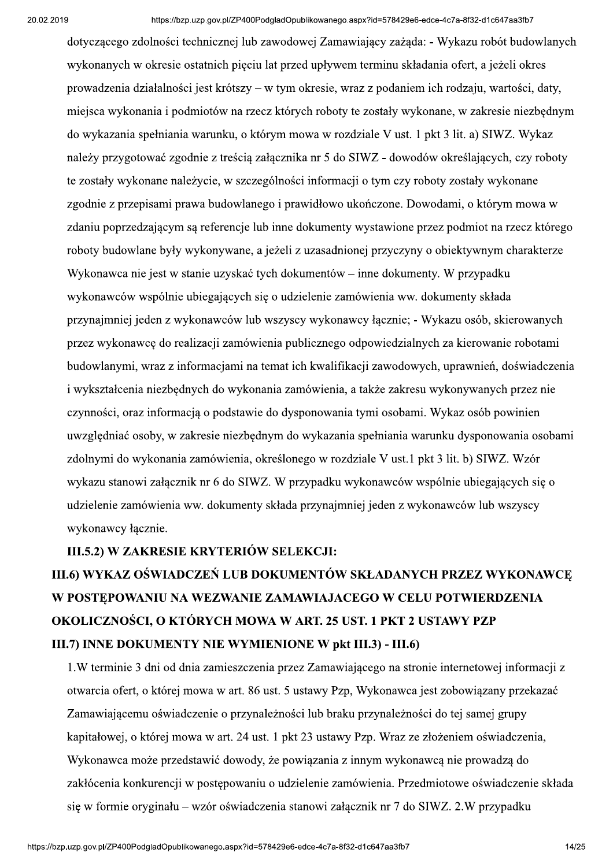dotyczącego zdolności technicznej lub zawodowej Zamawiający zażąda: - Wykazu robót budowlanych wykonanych w okresie ostatnich pięciu lat przed upływem terminu składania ofert, a jeżeli okres prowadzenia działalności jest krótszy – w tym okresie, wraz z podaniem ich rodzaju, wartości, daty, miejsca wykonania i podmiotów na rzecz których roboty te zostały wykonane, w zakresie niezbednym do wykazania spełniania warunku, o którym mowa w rozdziale V ust. 1 pkt 3 lit. a) SIWZ. Wykaz należy przygotować zgodnie z treścią załącznika nr 5 do SIWZ - dowodów określających, czy roboty te zostały wykonane należycie, w szczególności informacji o tym czy roboty zostały wykonane zgodnie z przepisami prawa budowlanego i prawidłowo ukończone. Dowodami, o którym mowa w zdaniu poprzedzającym są referencje lub inne dokumenty wystawione przez podmiot na rzecz którego roboty budowlane były wykonywane, a jeżeli z uzasadnionej przyczyny o obiektywnym charakterze Wykonawca nie jest w stanie uzyskać tych dokumentów – inne dokumenty. W przypadku wykonawców wspólnie ubiegających się o udzielenie zamówienia ww. dokumenty składa przynajmniej jeden z wykonawców lub wszyscy wykonawcy łącznie; - Wykazu osób, skierowanych przez wykonawcę do realizacji zamówienia publicznego odpowiedzialnych za kierowanie robotami budowlanymi, wraz z informacjami na temat ich kwalifikacji zawodowych, uprawnień, doświadczenia i wykształcenia niezbednych do wykonania zamówienia, a także zakresu wykonywanych przez nie czynności, oraz informacja o podstawie do dysponowania tymi osobami. Wykaz osób powinien uwzględniać osoby, w zakresie niezbędnym do wykazania spełniania warunku dysponowania osobami zdolnymi do wykonania zamówienia, określonego w rozdziale V ust.1 pkt 3 lit. b) SIWZ, Wzór wykazu stanowi załącznik nr 6 do SIWZ. W przypadku wykonawców wspólnie ubiegających się o udzielenie zamówienia ww. dokumenty składa przynajmniej jeden z wykonawców lub wszyscy wykonawcy łacznie.

#### III.5.2) W ZAKRESIE KRYTERIÓW SELEKCJI:

# III.6) WYKAZ OŚWIADCZEŃ LUB DOKUMENTÓW SKŁADANYCH PRZEZ WYKONAWCE W POSTEPOWANIU NA WEZWANIE ZAMAWIAJACEGO W CELU POTWIERDZENIA OKOLICZNOŚCI, O KTÓRYCH MOWA W ART. 25 UST. 1 PKT 2 USTAWY PZP III.7) INNE DOKUMENTY NIE WYMIENIONE W pkt III.3) - III.6)

1. W terminie 3 dni od dnia zamieszczenia przez Zamawiającego na stronie internetowej informacji z otwarcia ofert, o której mowa w art. 86 ust. 5 ustawy Pzp, Wykonawca jest zobowiązany przekazać Zamawiającemu oświadczenie o przynależności lub braku przynależności do tej samej grupy kapitałowej, o której mowa w art. 24 ust. 1 pkt 23 ustawy Pzp. Wraz ze złożeniem oświadczenia, Wykonawca może przedstawić dowody, że powiązania z innym wykonawcą nie prowadzą do zakłócenia konkurencii w postepowaniu o udzielenie zamówienia. Przedmiotowe oświadczenie składa się w formie oryginału – wzór oświadczenia stanowi załącznik nr 7 do SIWZ. 2.W przypadku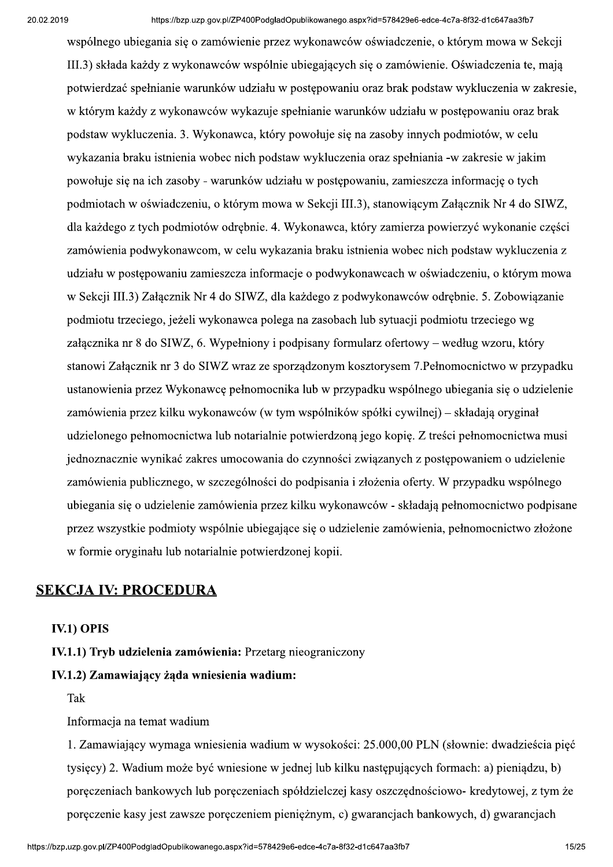aspx?id=578429e6-edce-4c7a-8f32-d1c647aa3fb7<br>5w oświadczenie, o którym mowa w Sekcji<br>h się o zamówienie. Oświadczenia te, mają<br>iu oraz brak podstaw wykluczenia w zakresie, wspólnego ubiegania się o zamówienie przez wykonawców oświadczenie, o którym mowa w Sekcji III.3) składa każdy z wykonawców wspólnie ubiegających się o zamówienie. Oświadczenia te, mają potwierdzać spełnianie warunków udziału w postępowaniu oraz brak podstaw wykluczenia w zakresie, w którym każdy z wykonawców wykazuje spełnianie warunków udziału w postępowaniu oraz brak podstaw wykluczenia. 3. Wykonawca, który powołuje się na zasoby innych podmiotów, w celu wykazania braku istnienia wobec nich podstaw wykluczenia oraz spełniania -w zakresie w jakim powołuje się na ich zasoby - warunków udziału w postępowaniu, zamieszcza informację o tych podmiotach w oświadczeniu, o którym mowa w Sekcji III.3), stanowiącym Załącznik Nr 4 do SIWZ, dla każdego z tych podmiotów odrębnie. 4. Wykonawca, który zamierza powierzyć wykonanie części zamówienia podwykonawcom, w celu wykazania braku istnienia wobec nich podstaw wykluczenia z udziału w postępowaniu zamieszcza informacje o podwykonawcach w oświadczeniu, o którym mowa w Sekcji III.3) Załącznik Nr 4 do SIWZ, dla każdego z podwykonawców odrębnie. 5. Zobowiązanie podmiotu trzeciego, jeżeli wykonawca polega na zasobach lub sytuacji podmiotu trzeciego wg załącznika nr 8 do SIWZ, 6. Wypełniony i podpisany formularz of errowy – według wzoru, który stanowi Załącznik nr 3 do SIWZ wraz ze sporządzonym kosztorysem 7. Pełnomocnictwo w przypadku ustanowienia przez Wykonawce pełnomocnika lub w przypadku wspólnego ubiegania się o udzielenie zamówienia przez kilku wykonawców (w tym wspólników spółki cywilnej) – składają oryginał udzielonego pełnomocnictwa lub notarialnie potwierdzoną jego kopię. Z treści pełnomocnictwa musi iednoznacznie wynikać zakres umocowania do czynności zwiazanych z postepowaniem o udzielenie zamówienia publicznego, w szczególności do podpisania i złożenia oferty. W przypadku wspólnego ubiegania się o udzielenie zamówienia przez kilku wykonawców - składają pełnomocnictwo podpisane przez wszystkie podmioty wspólnie ubiegające się o udzielenie zamówienia, pełnomocnictwo złożone w formie oryginału lub notarialnie potwierdzonej kopii.

#### SEKCJA IV: PROCEDURA

#### IV.1) OPIS

IV.1.1) Tryb udzielenia zamówienia: Przetarg nieograniczony

#### IV.1.2) Zamawiający żąda wniesienia wadium:

Tak

Informacja na temat wadium

mesione w jednej tuo kliku następujących formach: a) piemądzu, o)<br>pręczeniach spółdzielczej kasy oszczędnościowo- kredytowej, z tym że<br>ęczeniem pieniężnym, c) gwarancjach bankowych, d) gwarancjach<br>aspx?id=578429e6-edce-4c7 1. Zamawiający wymaga wniesienia wadium w wysokości: 25.000,00 PLN (słownie: dwadzieścia pięć tysięcy) 2. Wadium może być wniesione w jednej lub kilku następujących formach: a) pieniądzu, b) poręczeniach bankowych lub poręczeniach spółdzielczej kasy oszczędnościowo- kredytowej, z tym że poręczenie kasy jest zawsze poręczeniem pieniężnym, c) gwarancjach bankowych, d) gwarancjach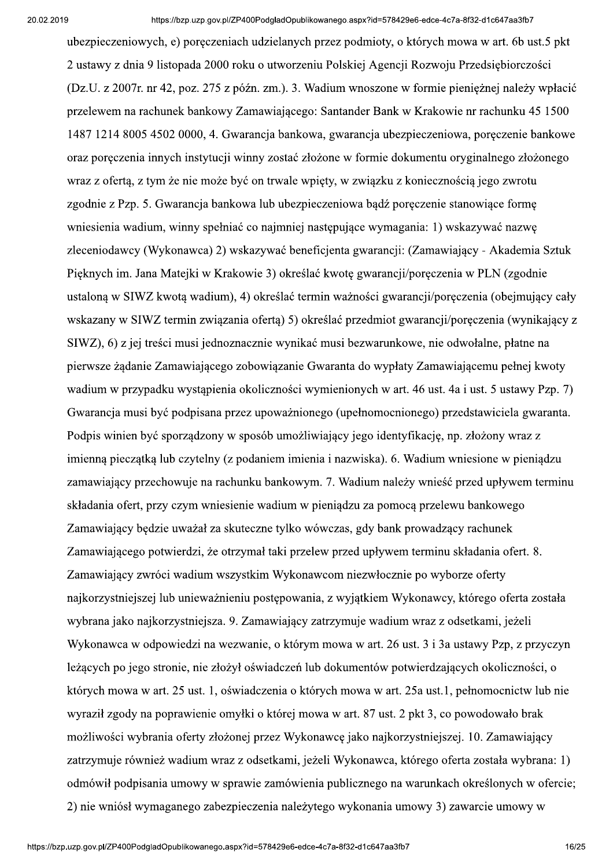ubezpieczeniowych, e) poreczeniach udzielanych przez podmioty, o których mowa w art. 6b ust.5 pkt 2 ustawy z dnia 9 listopada 2000 roku o utworzeniu Polskiej Agencji Rozwoju Przedsiębiorczości (Dz.U. z 2007r. nr 42, poz. 275 z późn. zm.). 3. Wadium wnoszone w formie pienieżnej należy wpłacić przelewem na rachunek bankowy Zamawiającego: Santander Bank w Krakowie nr rachunku 45 1500 1487 1214 8005 4502 0000, 4. Gwarancja bankowa, gwarancja ubezpieczeniowa, poreczenie bankowe oraz poreczenia innych instytucji winny zostać złożone w formie dokumentu oryginalnego złożonego wraz z ofertą, z tym że nie może być on trwale wpięty, w związku z koniecznością jego zwrotu zgodnie z Pzp. 5. Gwarancja bankowa lub ubezpieczeniowa bądź poręczenie stanowiące formę wniesienia wadium, winny spełniać co najmniej następujące wymagania: 1) wskazywać nazwę zleceniodawcy (Wykonawca) 2) wskazywać beneficjenta gwarancji: (Zamawiający - Akademia Sztuk Pięknych im. Jana Matejki w Krakowie 3) określać kwotę gwarancji/poręczenia w PLN (zgodnie ustaloną w SIWZ kwotą wadium), 4) określać termin ważności gwarancji/poręczenia (obejmujący cały wskazany w SIWZ termin związania ofertą) 5) określać przedmiot gwarancji/poręczenia (wynikający z SIWZ), 6) z jej treści musi jednoznacznie wynikać musi bezwarunkowe, nie odwołalne, płatne na pierwsze żądanie Zamawiającego zobowiązanie Gwaranta do wypłaty Zamawiającemu pełnej kwoty wadium w przypadku wystapienia okoliczności wymienionych w art. 46 ust. 4a i ust. 5 ustawy Pzp. 7) Gwarancia musi być podpisana przez upoważnionego (upełnomocnionego) przedstawiciela gwaranta. Podpis winien być sporządzony w sposób umożliwiający jego identyfikację, np. złożony wraz z imienna pieczatka lub czytelny (z podaniem imienia i nazwiska). 6. Wadium wniesione w pieniadzu zamawiający przechowuje na rachunku bankowym. 7. Wadium należy wnieść przed upływem terminu składania ofert, przy czym wniesienie wadium w pieniadzu za pomoca przelewu bankowego Zamawiający będzie uważał za skuteczne tylko wówczas, gdy bank prowadzący rachunek Zamawiającego potwierdzi, że otrzymał taki przelew przed upływem terminu składania ofert. 8. Zamawiający zwróci wadium wszystkim Wykonawcom niezwłocznie po wyborze oferty najkorzystniejszej lub unieważnieniu postępowania, z wyjątkiem Wykonawcy, którego oferta została wybrana jako najkorzystniejsza. 9. Zamawiający zatrzymuje wadium wraz z odsetkami, jeżeli Wykonawca w odpowiedzi na wezwanie, o którym mowa w art. 26 ust. 3 i 3a ustawy Pzp, z przyczyn leżących po jego stronie, nie złożył oświadczeń lub dokumentów potwierdzających okoliczności, o których mowa w art. 25 ust. 1, oświadczenia o których mowa w art. 25a ust. 1, pełnomocnictw lub nie wyraził zgody na poprawienie omyłki o której mowa w art. 87 ust. 2 pkt 3, co powodowało brak możliwości wybrania oferty złożonej przez Wykonawcę jako najkorzystniejszej. 10. Zamawiający zatrzymuje również wadium wraz z odsetkami, jeżeli Wykonawca, którego oferta została wybrana: 1) odmówił podpisania umowy w sprawie zamówienia publicznego na warunkach określonych w ofercie: 2) nie wniósł wymaganego zabezpieczenia należytego wykonania umowy 3) zawarcie umowy w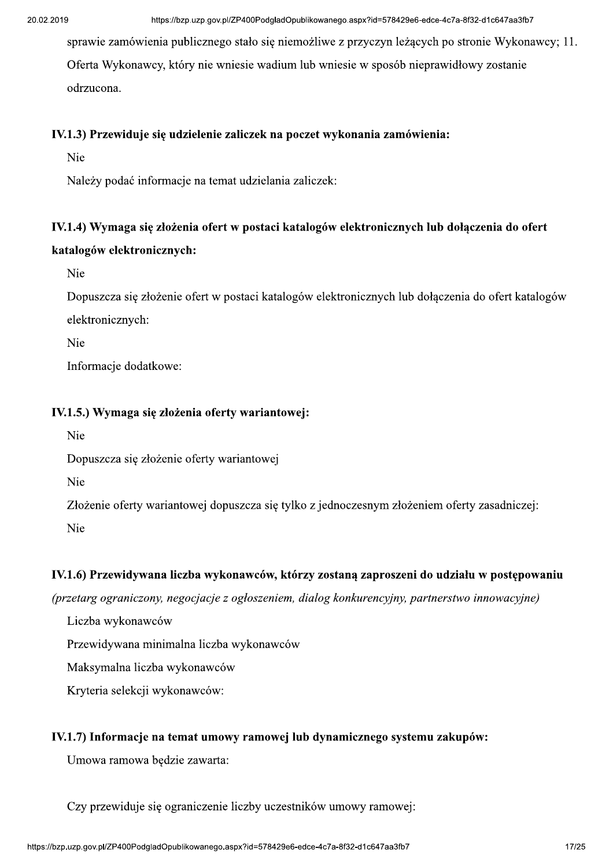sprawie zamówienia publicznego stało się niemożliwe z przyczyn leżących po stronie Wykonawcy; 11. Oferta Wykonawcy, który nie wniesie wadium lub wniesie w sposób nieprawidłowy zostanie odrzucona.

#### IV.1.3) Przewiduje się udzielenie zaliczek na poczet wykonania zamówienia:

Nie

Należy podać informacje na temat udzielania zaliczek:

# IV.1.4) Wymaga się złożenia ofert w postaci katalogów elektronicznych lub dołączenia do ofert katalogów elektronicznych:

Nie

Dopuszcza się złożenie ofert w postaci katalogów elektronicznych lub dołączenia do ofert katalogów elektronicznych:

Nie

Informacje dodatkowe:

#### IV.1.5.) Wymaga się złożenia oferty wariantowej:

Nie

Dopuszcza się złożenie oferty wariantowej

Nie

Złożenie oferty wariantowej dopuszcza się tylko z jednoczesnym złożeniem oferty zasadniczej:

Nie

#### IV.1.6) Przewidywana liczba wykonawców, którzy zostaną zaproszeni do udziału w postępowaniu

(przetarg ograniczony, negocjacje z ogłoszeniem, dialog konkurencyjny, partnerstwo innowacyjne)

Liczba wykonawców

Przewidywana minimalna liczba wykonawców

Maksymalna liczba wykonawców

Kryteria selekcji wykonawców:

#### IV.1.7) Informacje na temat umowy ramowej lub dynamicznego systemu zakupów:

Umowa ramowa będzie zawarta:

Czy przewiduje się ograniczenie liczby uczestników umowy ramowej: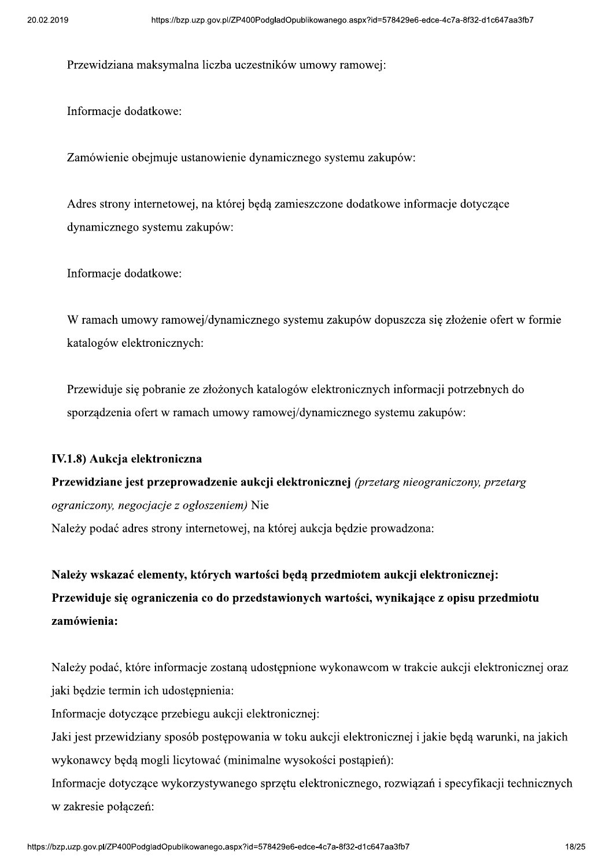Przewidziana maksymalna liczba uczestników umowy ramowej:

Informacje dodatkowe:

Zamówienie obejmuje ustanowienie dynamicznego systemu zakupów:

Adres strony internetowej, na której będą zamieszczone dodatkowe informacje dotyczące dynamicznego systemu zakupów:

Informacje dodatkowe:

W ramach umowy ramowej/dynamicznego systemu zakupów dopuszcza się złożenie ofert w formie katalogów elektronicznych:

Przewiduje się pobranie ze złożonych katalogów elektronicznych informacji potrzebnych do sporządzenia ofert w ramach umowy ramowej/dynamicznego systemu zakupów:

#### IV.1.8) Aukcja elektroniczna

Przewidziane jest przeprowadzenie aukcji elektronicznej (przetarg nieograniczony, przetarg ograniczony, negocjacje z ogłoszeniem) Nie Należy podać adres strony internetowej, na której aukcja będzie prowadzona:

Należy wskazać elementy, których wartości będą przedmiotem aukcji elektronicznej: Przewiduje się ograniczenia co do przedstawionych wartości, wynikające z opisu przedmiotu zamówienia:

Należy podać, które informacje zostana udostępnione wykonawcom w trakcie aukcji elektronicznej oraz jaki będzie termin ich udostępnienia:

Informacje dotyczące przebiegu aukcji elektronicznej:

Jaki jest przewidziany sposób postępowania w toku aukcji elektronicznej i jakie będą warunki, na jakich wykonawcy będą mogli licytować (minimalne wysokości postąpień):

vanego sprzętu elektronicznego, rozwiązań i specyfikacji technicznych<br>aspx?id=578429e6-edce-4c7a-8f32-d1c647aa3fb7<br>18/2 Informacje dotyczące wykorzystywanego sprzętu elektronicznego, rozwiązań i specyfikacji technicznych w zakresie połączeń: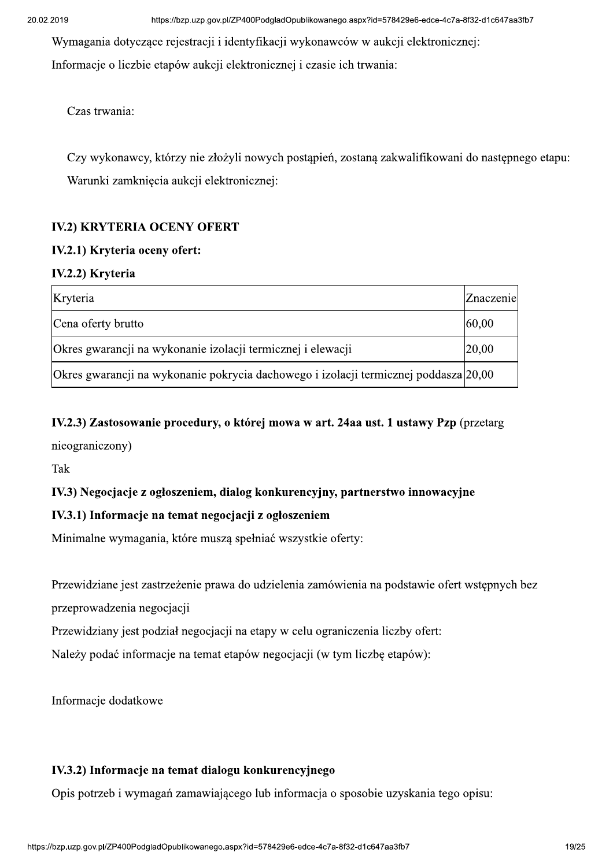Wymagania dotyczące rejestracji i identyfikacji wykonawców w aukcji elektronicznej: Informacje o liczbie etapów aukcji elektronicznej i czasie ich trwania:

Czas trwania:

Czy wykonawcy, którzy nie złożyli nowych postąpień, zostaną zakwalifikowani do następnego etapu: Warunki zamknięcia aukcji elektronicznej:

#### **IV.2) KRYTERIA OCENY OFERT**

#### IV.2.1) Kryteria oceny ofert:

#### IV.2.2) Kryteria

| Kryteria                                                                               | Znaczenie |
|----------------------------------------------------------------------------------------|-----------|
| Cena of erty brutto                                                                    | 60,00     |
| Okres gwarancji na wykonanie izolacji termicznej i elewacji                            | 20,00     |
| Okres gwarancji na wykonanie pokrycia dachowego i izolacji termicznej poddasza [20,00] |           |

# IV.2.3) Zastosowanie procedury, o której mowa w art. 24aa ust. 1 ustawy Pzp (przetarg

nieograniczony)

Tak

#### IV.3) Negocjacje z ogłoszeniem, dialog konkurencyjny, partnerstwo innowacyjne

#### IV.3.1) Informacje na temat negocjacji z ogłoszeniem

Minimalne wymagania, które muszą spełniać wszystkie oferty:

Przewidziane jest zastrzeżenie prawa do udzielenia zamówienia na podstawie ofert wstępnych bez

przeprowadzenia negocjacji

Przewidziany jest podział negocjacji na etapy w celu ograniczenia liczby ofert:

Należy podać informacje na temat etapów negocjacji (w tym liczbę etapów):

Informacje dodatkowe

#### IV.3.2) Informacje na temat dialogu konkurencyjnego

Opis potrzeb i wymagań zamawiającego lub informacja o sposobie uzyskania tego opisu: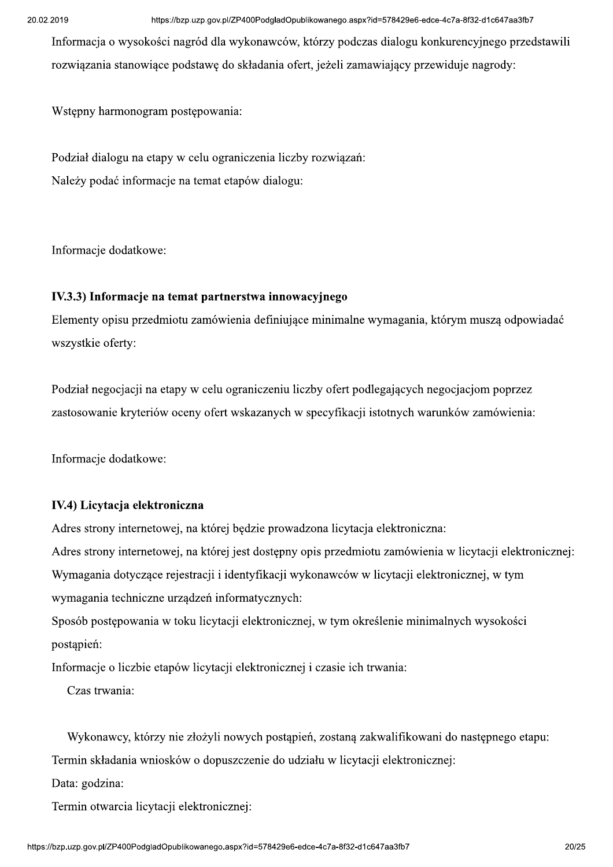Informacia o wysokości nagród dla wykonawców, którzy podczas dialogu konkurencyjnego przedstawili rozwiazania stanowiace podstawe do składania ofert, jeżeli zamawiający przewiduje nagrody:

Wstepny harmonogram postepowania:

Podział dialogu na etapy w celu ograniczenia liczby rozwiązań: Należy podać informacje na temat etapów dialogu:

Informacje dodatkowe:

#### IV.3.3) Informacje na temat partnerstwa innowacyjnego

Elementy opisu przedmiotu zamówienia definiujące minimalne wymagania, którym muszą odpowiadać wszystkie oferty:

Podział negociacji na etapy w celu ograniczeniu liczby ofert podlegających negociacjom poprzez zastosowanie kryteriów oceny ofert wskazanych w specyfikacji istotnych warunków zamówienia:

Informacie dodatkowe:

#### IV.4) Licytacja elektroniczna

Adres strony internetowej, na której będzie prowadzona licytacja elektroniczna: Adres strony internetowej, na której jest dostępny opis przedmiotu zamówienia w licytacji elektronicznej: Wymagania dotyczące rejestracji i identyfikacji wykonawców w licytacji elektronicznej, w tym wymagania techniczne urządzeń informatycznych:

Sposób postępowania w toku licytacji elektronicznej, w tym określenie minimalnych wysokości postapień:

Informacje o liczbie etapów licytacji elektronicznej i czasie ich trwania:

Czas trwania:

Wykonawcy, którzy nie złożyli nowych postąpień, zostaną zakwalifikowani do następnego etapu:

Termin składania wniosków o dopuszczenie do udziału w licytacji elektronicznej:

Data: godzina:

Termin otwarcia licytacji elektronicznej: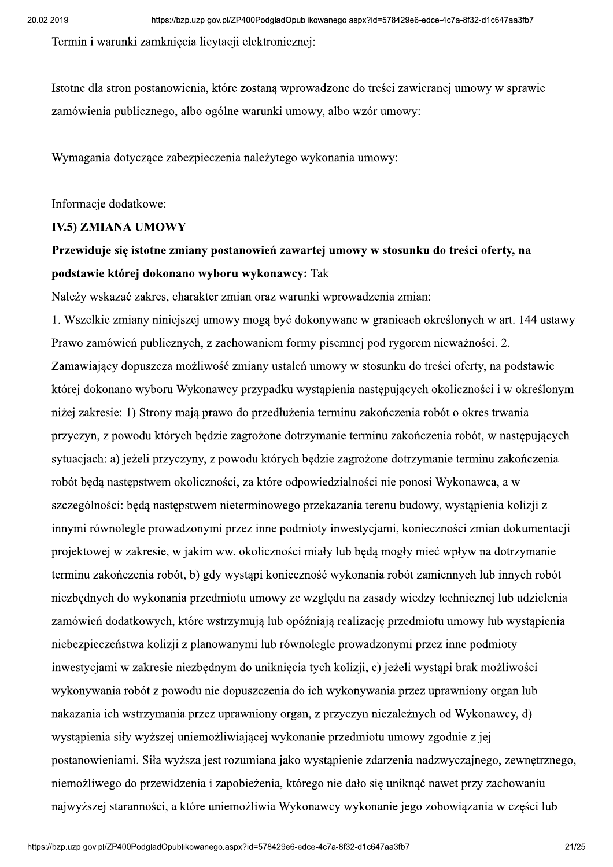Termin i warunki zamknięcia licytacji elektronicznej:

Istotne dla stron postanowienia, które zostana wprowadzone do treści zawieranej umowy w sprawie zamówienia publicznego, albo ogólne warunki umowy, albo wzór umowy:

Wymagania dotyczące zabezpieczenia należytego wykonania umowy:

Informacje dodatkowe:

#### **IV.5) ZMIANA UMOWY**

# Przewiduje się istotne zmiany postanowień zawartej umowy w stosunku do treści oferty, na podstawie której dokonano wyboru wykonawcy: Tak

Należy wskazać zakres, charakter zmian oraz warunki wprowadzenia zmian:

1. Wszelkie zmiany niniejszej umowy mogą być dokonywane w granicach określonych w art. 144 ustawy Prawo zamówień publicznych, z zachowaniem formy pisemnej pod rygorem nieważności. 2. Zamawiający dopuszcza możliwość zmiany ustaleń umowy w stosunku do treści oferty, na podstawie której dokonano wyboru Wykonawcy przypadku wystapienia następujących okoliczności i w określonym niżej zakresie: 1) Strony mają prawo do przedłużenia terminu zakończenia robót o okres trwania przyczyn, z powodu których będzie zagrożone dotrzymanie terminu zakończenia robót, w następujących sytuaciach: a) jeżeli przyczyny, z powodu których bedzie zagrożone dotrzymanie terminu zakończenia robót będą następstwem okoliczności, za które odpowiedzialności nie ponosi Wykonawca, a w szczególności: będą następstwem nieterminowego przekazania terenu budowy, wystąpienia kolizii z innymi równolegle prowadzonymi przez inne podmioty inwestycjami, konieczności zmian dokumentacji projektowej w zakresie, w jakim ww. okoliczności miały lub będą mogły mieć wpływ na dotrzymanie terminu zakończenia robót, b) gdy wystąpi konieczność wykonania robót zamiennych lub innych robót niezbędnych do wykonania przedmiotu umowy ze względu na zasady wiedzy technicznej lub udzielenia zamówień dodatkowych, które wstrzymują lub opóźniają realizację przedmiotu umowy lub wystąpienia niebezpieczeństwa kolizji z planowanymi lub równolegle prowadzonymi przez inne podmioty inwestycjami w zakresie niezbędnym do uniknięcia tych kolizji, c) jeżeli wystąpi brak możliwości wykonywania robót z powodu nie dopuszczenia do ich wykonywania przez uprawniony organ lub nakazania ich wstrzymania przez uprawniony organ, z przyczyn niezależnych od Wykonawcy, d) wystąpienia siły wyższej uniemożliwiającej wykonanie przedmiotu umowy zgodnie z jej postanowieniami. Siła wyższa jest rozumiana jako wystąpienie zdarzenia nadzwyczajnego, zewnętrznego, niemożliwego do przewidzenia i zapobieżenia, którego nie dało się uniknać nawet przy zachowaniu najwyższej staranności, a które uniemożliwia Wykonawcy wykonanie jego zobowiązania w części lub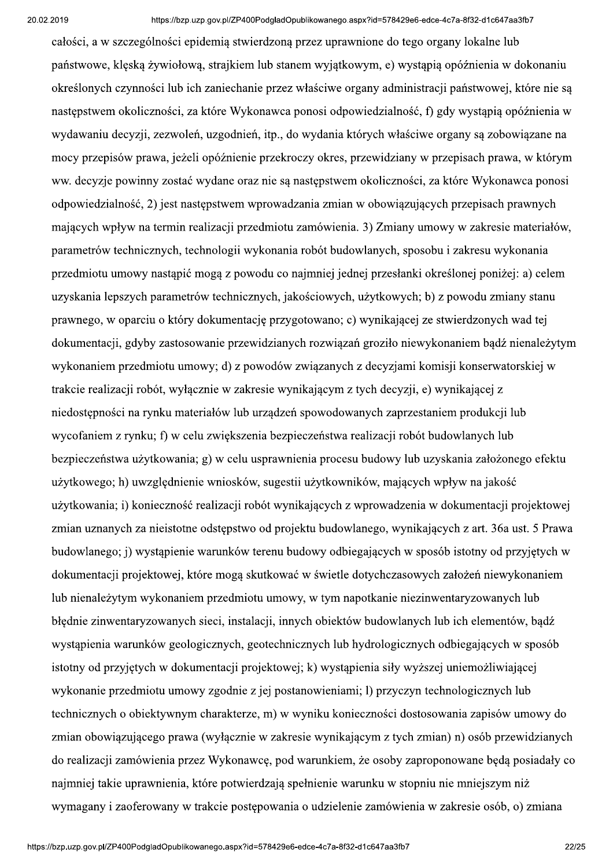całości, a w szczególności epidemia stwierdzona przez uprawnione do tego organy lokalne lub państwowe, kleska żywiołowa, strajkiem lub stanem wyjatkowym, e) wystapia opóźnienia w dokonaniu określonych czynności lub ich zaniechanie przez właściwe organy administracji państwowej, które nie sa następstwem okoliczności, za które Wykonawca ponosi odpowiedzialność, f) gdy wystąpią opóźnienia w wydawaniu decyzji, zezwoleń, uzgodnień, itp., do wydania których właściwe organy są zobowiązane na mocy przepisów prawa, jeżeli opóźnienie przekroczy okres, przewidziany w przepisach prawa, w którym ww. decyzje powinny zostać wydane oraz nie są następstwem okoliczności, za które Wykonawca ponosi odpowiedzialność, 2) jest następstwem wprowadzania zmian w obowiązujących przepisach prawnych mających wpływ na termin realizacji przedmiotu zamówienia. 3) Zmiany umowy w zakresie materiałów, parametrów technicznych, technologii wykonania robót budowlanych, sposobu i zakresu wykonania przedmiotu umowy nastąpić mogą z powodu co najmniej jednej przesłanki określonej poniżej: a) celem uzyskania lepszych parametrów technicznych, jakościowych, użytkowych; b) z powodu zmiany stanu prawnego, w oparciu o który dokumentację przygotowano; c) wynikającej ze stwierdzonych wad tej dokumentacji, gdyby zastosowanie przewidzianych rozwiązań groziło niewykonaniem bądź nienależytym wykonaniem przedmiotu umowy; d) z powodów związanych z decyzjami komisji konserwatorskiej w trakcie realizacji robót, wyłacznie w zakresie wynikającym z tych decyzji, e) wynikającej z niedostepności na rynku materiałów lub urzadzeń spowodowanych zaprzestaniem produkcji lub wycofaniem z rynku; f) w celu zwiększenia bezpieczeństwa realizacji robót budowlanych lub bezpieczeństwa użytkowania; g) w celu usprawnienia procesu budowy lub uzyskania założonego efektu użytkowego; h) uwzglednienie wniosków, sugestii użytkowników, mających wpływ na jakość użytkowania; i) konieczność realizacji robót wynikających z wprowadzenia w dokumentacji projektowej zmian uznanych za nieistotne odstępstwo od projektu budowlanego, wynikających z art. 36a ust. 5 Prawa budowlanego; j) wystąpienie warunków terenu budowy odbiegających w sposób istotny od przyjętych w dokumentacji projektowej, które mogą skutkować w świetle dotychczasowych założeń niewykonaniem lub nienależytym wykonaniem przedmiotu umowy, w tym napotkanie niezinwentaryzowanych lub błędnie zinwentaryzowanych sieci, instalacji, innych obiektów budowlanych lub ich elementów, bądź wystąpienia warunków geologicznych, geotechnicznych lub hydrologicznych odbiegających w sposób istotny od przyjętych w dokumentacji projektowej; k) wystąpienia siły wyższej uniemożliwiającej wykonanie przedmiotu umowy zgodnie z jej postanowieniami; l) przyczyn technologicznych lub technicznych o obiektywnym charakterze, m) w wyniku konieczności dostosowania zapisów umowy do zmian obowiązującego prawa (wyłącznie w zakresie wynikającym z tych zmian) n) osób przewidzianych do realizacji zamówienia przez Wykonawcę, pod warunkiem, że osoby zaproponowane będą posiadały co naimniei takie uprawnienia, które potwierdzają spełnienie warunku w stopniu nie mniejszym niż wymagany i zaoferowany w trakcie postępowania o udzielenie zamówienia w zakresie osób, o) zmiana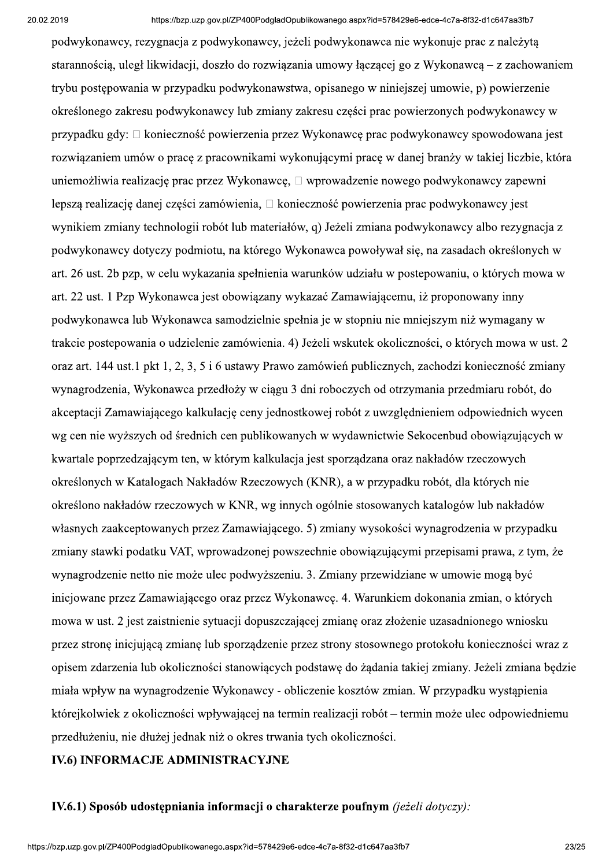podwykonawcy, rezygnacja z podwykonawcy, jeżeli podwykonawca nie wykonuje prac z należyta starannościa, uległ likwidacji, doszło do rozwiazania umowy łaczącej go z Wykonawca – z zachowaniem trybu postępowania w przypadku podwykonawstwa, opisanego w niniejszej umowie, p) powierzenie określonego zakresu podwykonawcy lub zmiany zakresu części prac powierzonych podwykonawcy w przypadku gdy: □ konieczność powierzenia przez Wykonawce prac podwykonawcy spowodowana jest rozwiązaniem umów o pracę z pracownikami wykonującymi pracę w danej branży w takiej liczbie, która uniemożliwia realizację prac przez Wykonawcę, □ wprowadzenie nowego podwykonawcy zapewni lepszą realizację danej części zamówienia, □ konieczność powierzenia prac podwykonawcy jest wynikiem zmiany technologii robót lub materiałów, q) Jeżeli zmiana podwykonawcy albo rezygnacja z podwykonawcy dotyczy podmiotu, na którego Wykonawca powoływał się, na zasadach określonych w art. 26 ust. 2b pzp, w celu wykazania spełnienia warunków udziału w postepowaniu, o których mowa w art. 22 ust. 1 Pzp Wykonawca jest obowiązany wykazać Zamawiającemu, iż proponowany inny podwykonawca lub Wykonawca samodzielnie spełnia je w stopniu nie mniejszym niż wymagany w trakcie postepowania o udzielenie zamówienia. 4) Jeżeli wskutek okoliczności, o których mowa w ust. 2 oraz art. 144 ust.1 pkt 1, 2, 3, 5 i 6 ustawy Prawo zamówień publicznych, zachodzi konieczność zmiany wynagrodzenia, Wykonawca przedłoży w ciagu 3 dni roboczych od otrzymania przedmiaru robót, do akceptacji Zamawiającego kalkulację ceny jednostkowej robót z uwzględnieniem odpowiednich wycen wg cen nie wyższych od średnich cen publikowanych w wydawnictwie Sekocenbud obowiązujących w kwartale poprzedzającym ten, w którym kalkulacja jest sporządzana oraz nakładów rzeczowych określonych w Katalogach Nakładów Rzeczowych (KNR), a w przypadku robót, dla których nie określono nakładów rzeczowych w KNR, wg innych ogólnie stosowanych katalogów lub nakładów własnych zaakceptowanych przez Zamawiającego. 5) zmiany wysokości wynagrodzenia w przypadku zmiany stawki podatku VAT, wprowadzonej powszechnie obowiązującymi przepisami prawa, z tym, że wynagrodzenie netto nie może ulec podwyższeniu. 3. Zmiany przewidziane w umowie mogą być inicjowane przez Zamawiającego oraz przez Wykonawcę. 4. Warunkiem dokonania zmian, o których mowa w ust. 2 jest zaistnienie sytuacji dopuszczającej zmianę oraz złożenie uzasadnionego wniosku przez stronę inicjującą zmianę lub sporządzenie przez strony stosownego protokołu konieczności wraz z opisem zdarzenia lub okoliczności stanowiących podstawę do żądania takiej zmiany. Jeżeli zmiana będzie miała wpływ na wynagrodzenie Wykonawcy - obliczenie kosztów zmian. W przypadku wystąpienia którejkolwiek z okoliczności wpływającej na termin realizacji robót – termin może ulec odpowiedniemu przedłużeniu, nie dłużej jednak niż o okres trwania tych okoliczności.

#### **IV.6) INFORMACJE ADMINISTRACYJNE**

#### IV.6.1) Sposób udostępniania informacji o charakterze poufnym (jeżeli dotyczy):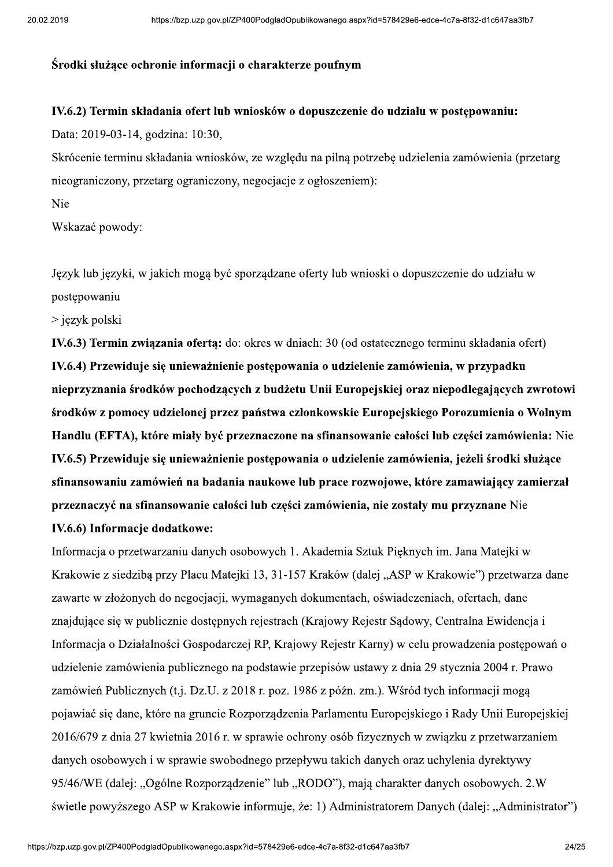#### Środki służace ochronie informacji o charakterze poufnym

#### IV.6.2) Termin składania ofert lub wniosków o dopuszczenie do udziału w postepowaniu:

Data: 2019-03-14, godzina: 10:30,

Skrócenie terminu składania wniosków, ze względu na pilną potrzebę udzielenia zamówienia (przetarg nieograniczony, przetarg ograniczony, negocjacje z ogłoszeniem):

Nie

Wskazać powody:

Język lub języki, w jakich mogą być sporządzane oferty lub wnioski o dopuszczenie do udziału w postępowaniu

 $>$  język polski

IV.6.3) Termin związania ofertą: do: okres w dniach: 30 (od ostatecznego terminu składania ofert) IV.6.4) Przewiduje się unieważnienie postępowania o udzielenie zamówienia, w przypadku nieprzyznania środków pochodzacych z budżetu Unii Europejskiej oraz niepodlegających zwrotowi środków z pomocy udzielonej przez państwa członkowskie Europejskiego Porozumienia o Wolnym Handlu (EFTA), które miały być przeznaczone na sfinansowanie całości lub części zamówienia: Nie IV.6.5) Przewiduje się unieważnienie postepowania o udzielenie zamówienia, jeżeli środki służace sfinansowaniu zamówień na badania naukowe lub prace rozwojowe, które zamawiający zamierzał przeznaczyć na sfinansowanie całości lub części zamówienia, nie zostały mu przyznane Nie IV.6.6) Informacje dodatkowe:

Informacja o przetwarzaniu danych osobowych 1. Akademia Sztuk Pięknych im. Jana Matejki w Krakowie z siedzibą przy Placu Matejki 13, 31-157 Kraków (dalej "ASP w Krakowie") przetwarza dane zawarte w złożonych do negocjacji, wymaganych dokumentach, oświadczeniach, ofertach, dane znajdujące się w publicznie dostępnych rejestrach (Krajowy Rejestr Sądowy, Centralna Ewidencja i Informacja o Działalności Gospodarczej RP, Krajowy Rejestr Karny) w celu prowadzenia postępowań o udzielenie zamówienia publicznego na podstawie przepisów ustawy z dnia 29 stycznia 2004 r. Prawo zamówień Publicznych (t.j. Dz.U. z 2018 r. poz. 1986 z późn. zm.). Wśród tych informacji mogą pojawiać się dane, które na gruncie Rozporządzenia Parlamentu Europejskiego i Rady Unii Europejskiej 2016/679 z dnia 27 kwietnia 2016 r. w sprawie ochrony osób fizycznych w związku z przetwarzaniem danych osobowych i w sprawie swobodnego przepływu takich danych oraz uchylenia dyrektywy 95/46/WE (dalei: "Ogólne Rozporzadzenie" lub "RODO"), mają charakter danych osobowych. 2.W świetle powyższego ASP w Krakowie informuje, że: 1) Administratorem Danych (dalej: "Administrator")